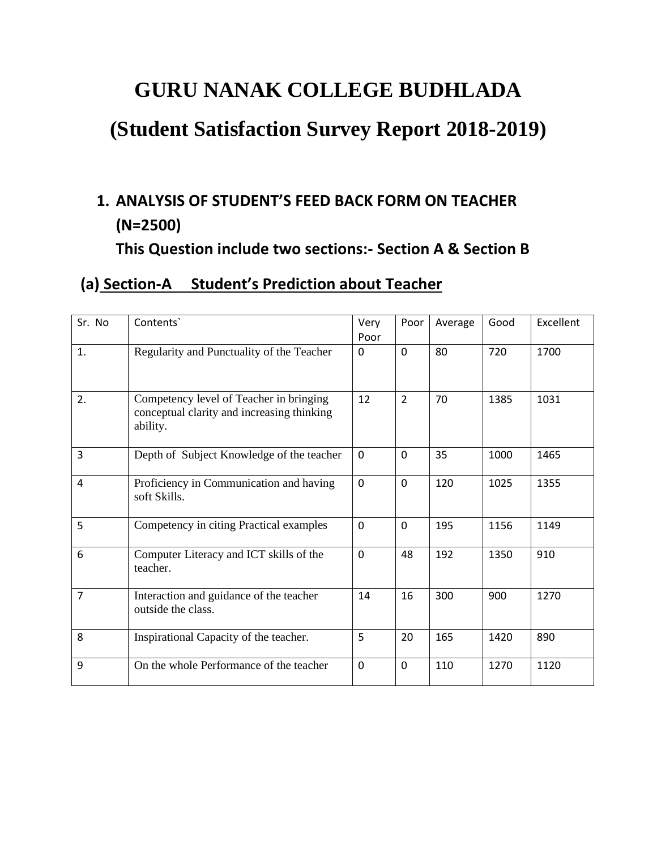# **GURU NANAK COLLEGE BUDHLADA**

# **(Student Satisfaction Survey Report 2018-2019)**

### **1. ANALYSIS OF STUDENT'S FEED BACK FORM ON TEACHER (N=2500)**

**This Question include two sections:- Section A & Section B**

#### **(a) Section-A Student's Prediction about Teacher**

| Sr. No         | Contents'                                                                                         | Very<br>Poor | Poor           | Average | Good | Excellent |
|----------------|---------------------------------------------------------------------------------------------------|--------------|----------------|---------|------|-----------|
| 1.             | Regularity and Punctuality of the Teacher                                                         | 0            | $\Omega$       | 80      | 720  | 1700      |
| 2.             | Competency level of Teacher in bringing<br>conceptual clarity and increasing thinking<br>ability. | 12           | $\overline{2}$ | 70      | 1385 | 1031      |
| 3              | Depth of Subject Knowledge of the teacher                                                         | $\Omega$     | $\Omega$       | 35      | 1000 | 1465      |
| $\overline{4}$ | Proficiency in Communication and having<br>soft Skills.                                           | $\mathbf 0$  | $\Omega$       | 120     | 1025 | 1355      |
| 5              | Competency in citing Practical examples                                                           | $\mathbf 0$  | $\Omega$       | 195     | 1156 | 1149      |
| 6              | Computer Literacy and ICT skills of the<br>teacher.                                               | $\mathbf 0$  | 48             | 192     | 1350 | 910       |
| $\overline{7}$ | Interaction and guidance of the teacher<br>outside the class.                                     | 14           | 16             | 300     | 900  | 1270      |
| 8              | Inspirational Capacity of the teacher.                                                            | 5            | 20             | 165     | 1420 | 890       |
| 9              | On the whole Performance of the teacher                                                           | $\mathbf 0$  | $\mathbf 0$    | 110     | 1270 | 1120      |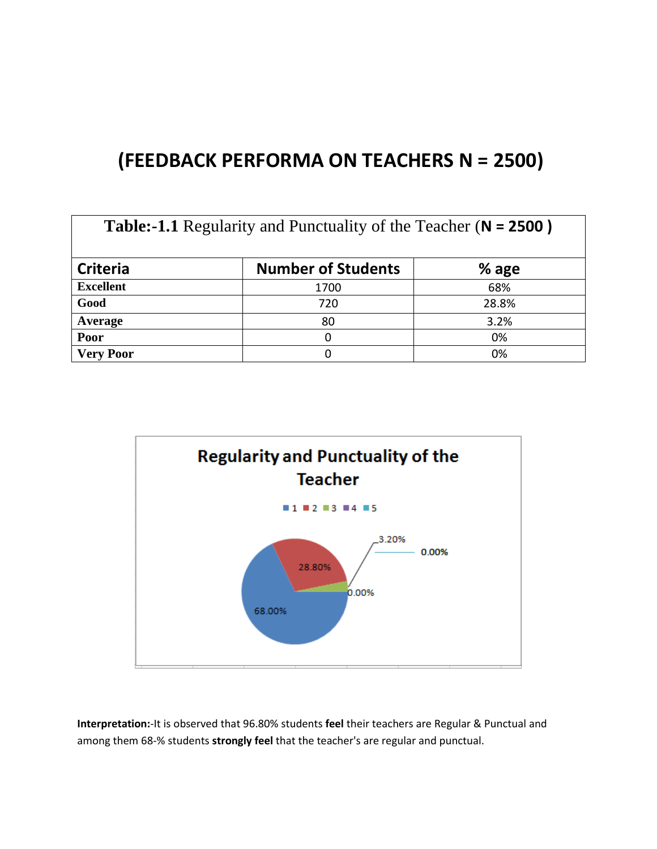### **(FEEDBACK PERFORMA ON TEACHERS N = 2500)**

| <b>Table:-1.1</b> Regularity and Punctuality of the Teacher (N = 2500) |                           |       |  |
|------------------------------------------------------------------------|---------------------------|-------|--|
| <b>Criteria</b>                                                        | <b>Number of Students</b> | % age |  |
| <b>Excellent</b>                                                       | 1700                      | 68%   |  |
| Good                                                                   | 720                       | 28.8% |  |
| Average                                                                | 80                        | 3.2%  |  |
| Poor                                                                   | 0                         | 0%    |  |
| <b>Very Poor</b>                                                       |                           | 0%    |  |



**Interpretation:**-It is observed that 96.80% students **feel** their teachers are Regular & Punctual and among them 68-% students **strongly feel** that the teacher's are regular and punctual.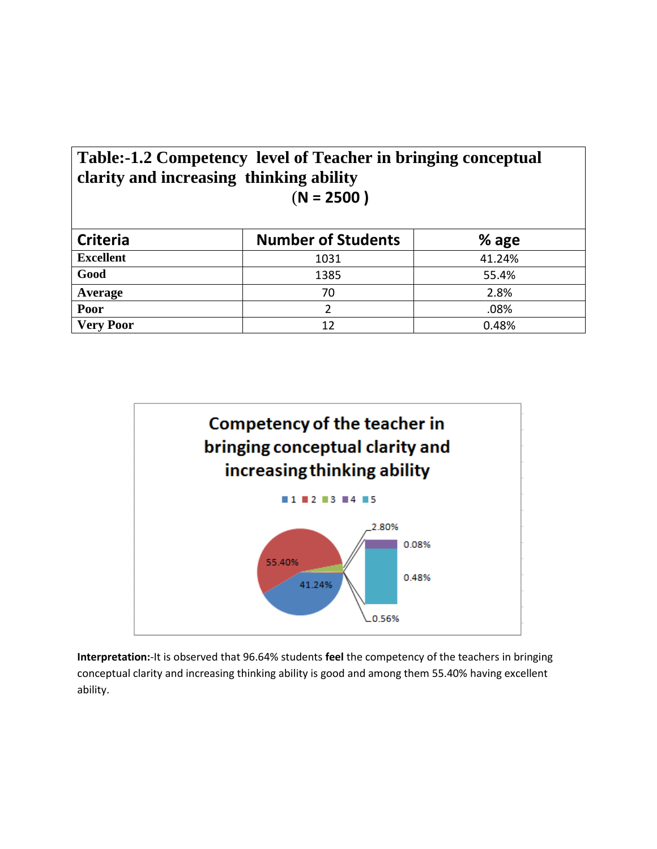| Table:-1.2 Competency level of Teacher in bringing conceptual |
|---------------------------------------------------------------|
| clarity and increasing thinking ability                       |
| $(N = 2500)$                                                  |
|                                                               |

| <b>Criteria</b>  | <b>Number of Students</b> | $%$ age |
|------------------|---------------------------|---------|
| <b>Excellent</b> | 1031                      | 41.24%  |
| Good             | 1385                      | 55.4%   |
| Average          | 70                        | 2.8%    |
| Poor             |                           | .08%    |
| <b>Very Poor</b> | 12                        | 0.48%   |



**Interpretation:**-It is observed that 96.64% students **feel** the competency of the teachers in bringing conceptual clarity and increasing thinking ability is good and among them 55.40% having excellent ability.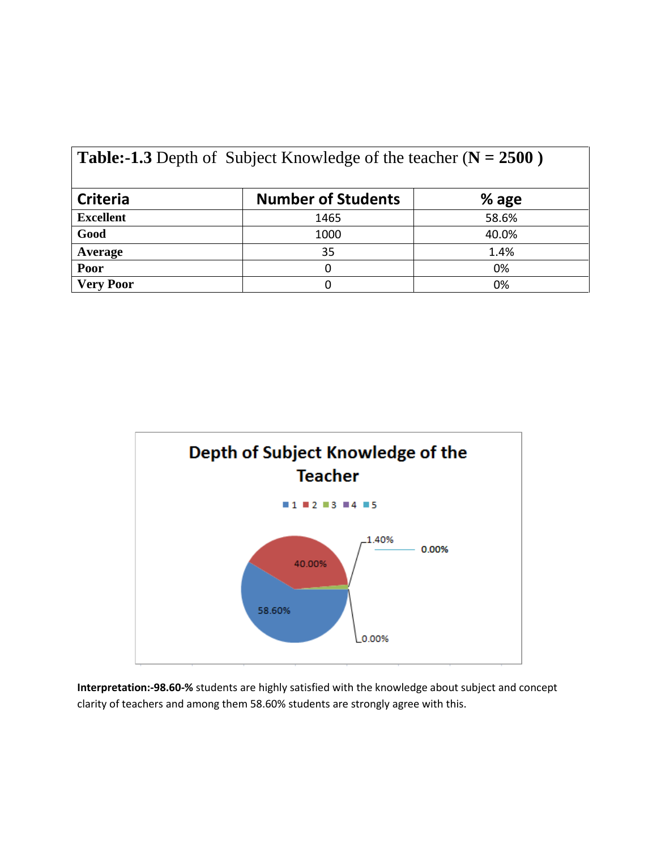| <b>Table:-1.3</b> Depth of Subject Knowledge of the teacher ( $N = 2500$ ) |                           |       |  |
|----------------------------------------------------------------------------|---------------------------|-------|--|
| <b>Criteria</b>                                                            | <b>Number of Students</b> | % age |  |
| <b>Excellent</b>                                                           | 1465                      | 58.6% |  |
| Good                                                                       | 1000                      | 40.0% |  |
| Average                                                                    | 35                        | 1.4%  |  |
| Poor                                                                       | ი                         | 0%    |  |
| <b>Very Poor</b>                                                           | 0                         | 0%    |  |



**Interpretation:-98.60-%** students are highly satisfied with the knowledge about subject and concept clarity of teachers and among them 58.60% students are strongly agree with this.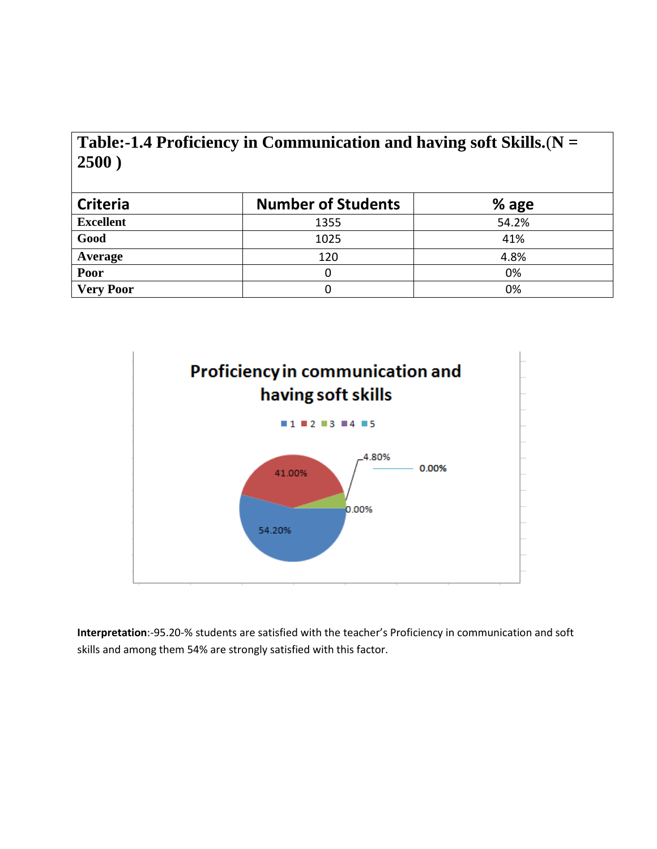| Table:-1.4 Proficiency in Communication and having soft Skills. $(N =$ |  |
|------------------------------------------------------------------------|--|
| 2500)                                                                  |  |

| <b>Criteria</b>  | <b>Number of Students</b> | $%$ age |
|------------------|---------------------------|---------|
| <b>Excellent</b> | 1355                      | 54.2%   |
| Good             | 1025                      | 41%     |
| Average          | 120                       | 4.8%    |
| Poor             |                           | 0%      |
| <b>Very Poor</b> |                           | 0%      |



**Interpretation**:-95.20-% students are satisfied with the teacher's Proficiency in communication and soft skills and among them 54% are strongly satisfied with this factor.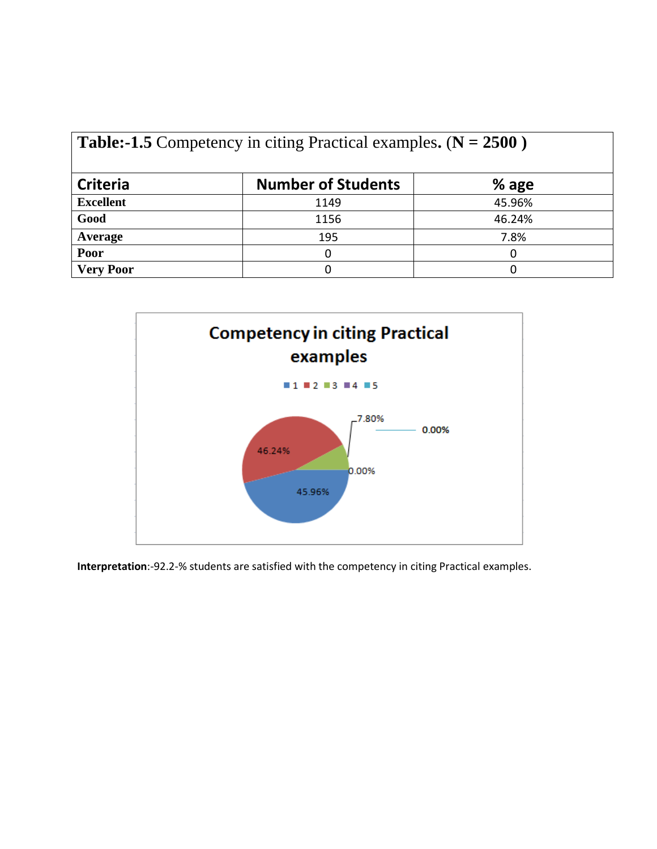| <b>Table:-1.5</b> Competency in citing Practical examples. $(N = 2500)$ |                           |         |  |
|-------------------------------------------------------------------------|---------------------------|---------|--|
| <b>Criteria</b>                                                         | <b>Number of Students</b> | $%$ age |  |
| <b>Excellent</b>                                                        | 1149                      | 45.96%  |  |
| Good                                                                    | 1156                      | 46.24%  |  |
| Average                                                                 | 195                       | 7.8%    |  |
| Poor                                                                    | O                         | O       |  |
| <b>Very Poor</b>                                                        | O                         |         |  |



**Interpretation**:-92.2-% students are satisfied with the competency in citing Practical examples.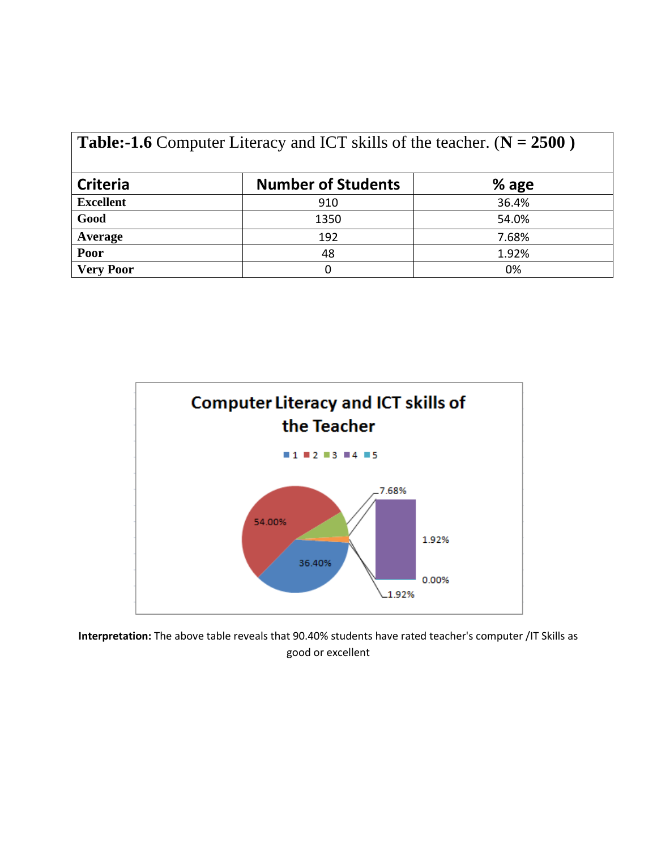| <b>Table:-1.6</b> Computer Literacy and ICT skills of the teacher. ( $N = 2500$ ) |                           |         |  |
|-----------------------------------------------------------------------------------|---------------------------|---------|--|
| <b>Criteria</b>                                                                   | <b>Number of Students</b> | $%$ age |  |
| <b>Excellent</b>                                                                  | 910                       | 36.4%   |  |
| Good                                                                              | 1350                      | 54.0%   |  |
| Average                                                                           | 192                       | 7.68%   |  |
| Poor                                                                              | 48                        | 1.92%   |  |
| <b>Very Poor</b>                                                                  | 0                         | 0%      |  |



**Interpretation:** The above table reveals that 90.40% students have rated teacher's computer /IT Skills as good or excellent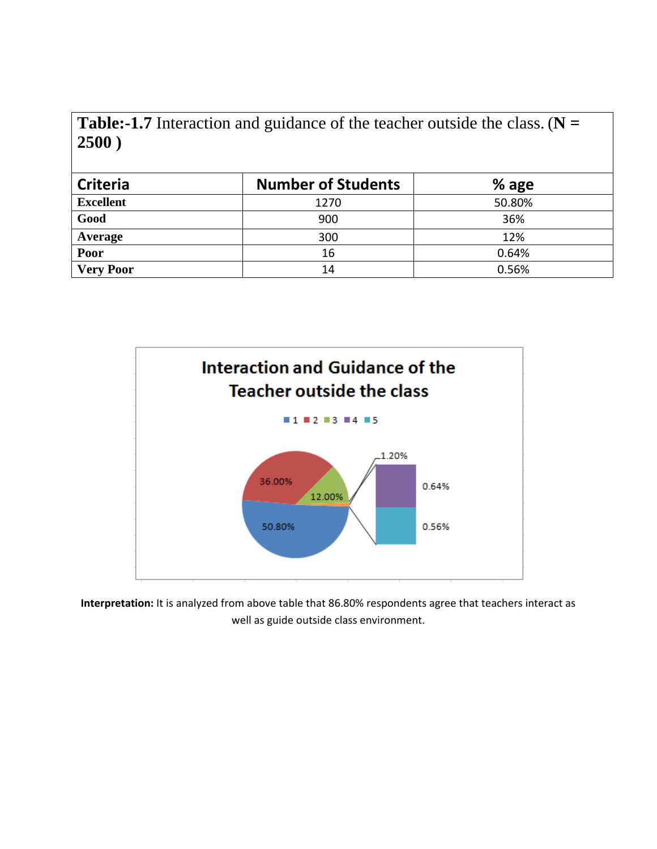**Table:-1.7** Interaction and guidance of the teacher outside the class. (**N = 2500 )**

| <b>Criteria</b>  | <b>Number of Students</b> | $%$ age |
|------------------|---------------------------|---------|
| <b>Excellent</b> | 1270                      | 50.80%  |
| Good             | 900                       | 36%     |
| Average          | 300                       | 12%     |
| Poor             | 16                        | 0.64%   |
| <b>Very Poor</b> | 14                        | 0.56%   |



**Interpretation:** It is analyzed from above table that 86.80% respondents agree that teachers interact as well as guide outside class environment.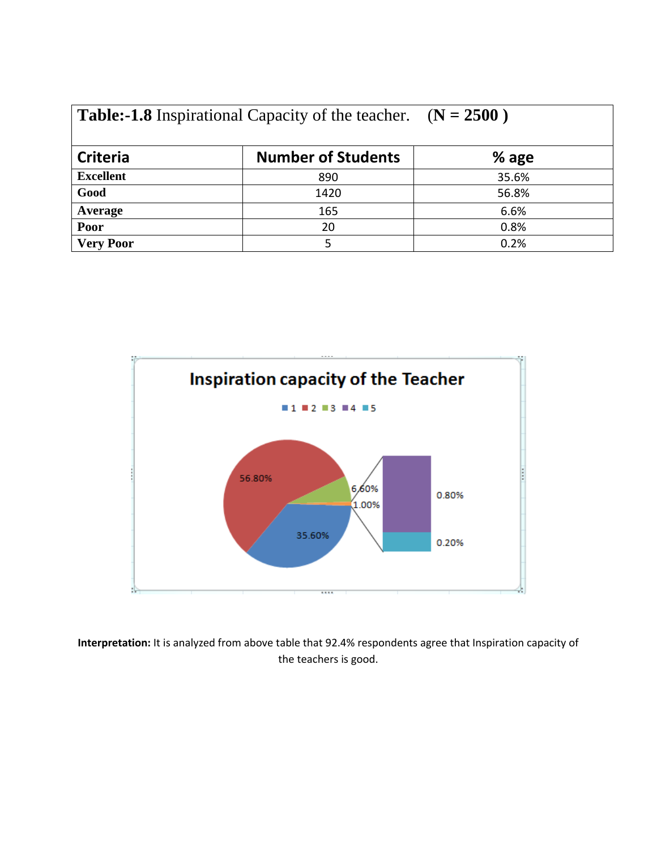| <b>Table:-1.8</b> Inspirational Capacity of the teacher. $(N = 2500)$ |  |
|-----------------------------------------------------------------------|--|
|-----------------------------------------------------------------------|--|

| <b>Criteria</b>  | <b>Number of Students</b> | % age |
|------------------|---------------------------|-------|
| <b>Excellent</b> | 890                       | 35.6% |
| Good             | 1420                      | 56.8% |
| Average          | 165                       | 6.6%  |
| Poor             | 20                        | 0.8%  |
| <b>Very Poor</b> |                           | 0.2%  |



**Interpretation:** It is analyzed from above table that 92.4% respondents agree that Inspiration capacity of the teachers is good.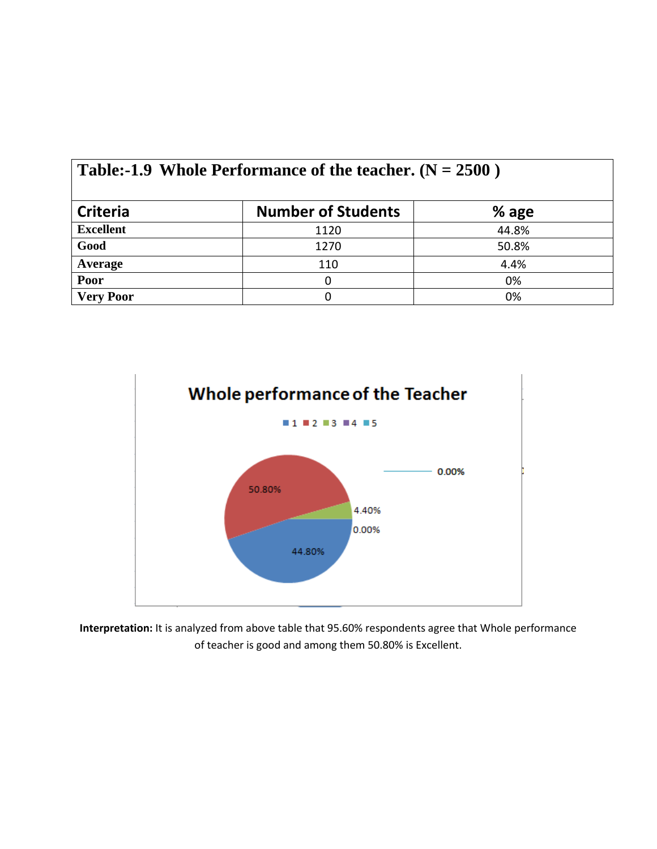| Table:-1.9 Whole Performance of the teacher. $(N = 2500)$ |                           |         |  |
|-----------------------------------------------------------|---------------------------|---------|--|
| <b>Criteria</b>                                           | <b>Number of Students</b> | $%$ age |  |
| <b>Excellent</b>                                          | 1120                      | 44.8%   |  |
| Good                                                      | 1270                      | 50.8%   |  |
| Average                                                   | 110                       | 4.4%    |  |
| Poor                                                      | 0                         | 0%      |  |
| <b>Very Poor</b>                                          |                           | 0%      |  |



**Interpretation:** It is analyzed from above table that 95.60% respondents agree that Whole performance of teacher is good and among them 50.80% is Excellent.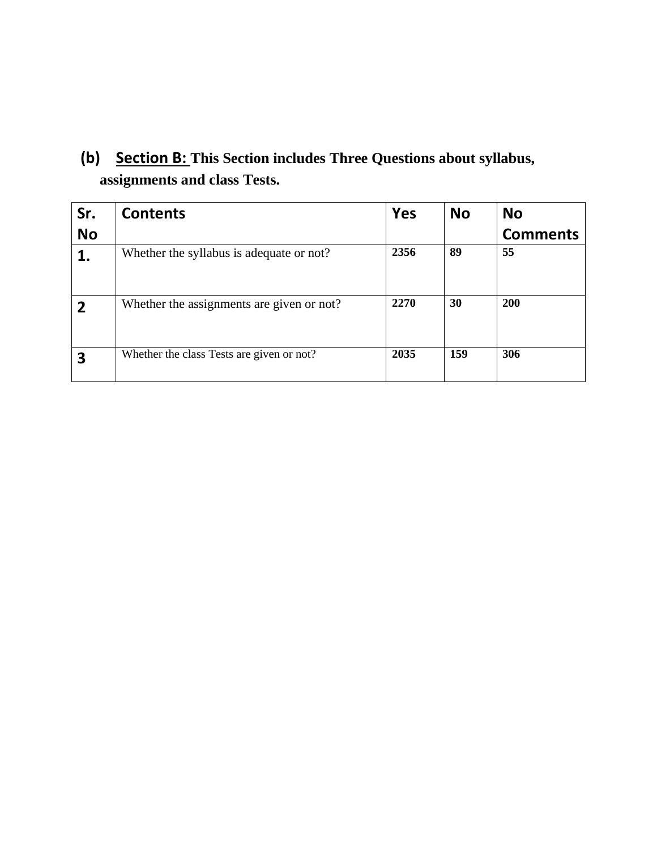**(b) Section B: This Section includes Three Questions about syllabus, assignments and class Tests.**

| Sr.            | <b>Contents</b>                           | <b>Yes</b> | <b>No</b> | <b>No</b>       |
|----------------|-------------------------------------------|------------|-----------|-----------------|
| <b>No</b>      |                                           |            |           | <b>Comments</b> |
| 1.             | Whether the syllabus is adequate or not?  | 2356       | 89        | 55              |
| $\overline{2}$ | Whether the assignments are given or not? | 2270       | 30        | <b>200</b>      |
| 3              | Whether the class Tests are given or not? | 2035       | 159       | 306             |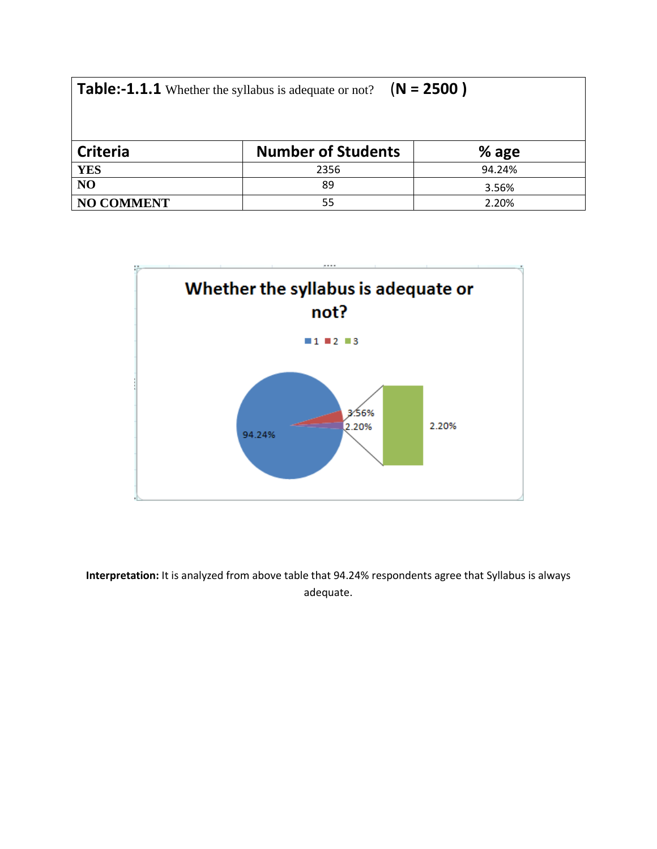| $(N = 2500)$<br><b>Table:-1.1.1</b> Whether the syllabus is adequate or not? |                           |         |  |  |
|------------------------------------------------------------------------------|---------------------------|---------|--|--|
| <b>Criteria</b>                                                              | <b>Number of Students</b> | $%$ age |  |  |
| <b>YES</b>                                                                   | 2356                      | 94.24%  |  |  |
| NO                                                                           | 89                        | 3.56%   |  |  |
| <b>NO COMMENT</b>                                                            | 55                        | 2.20%   |  |  |



**Interpretation:** It is analyzed from above table that 94.24% respondents agree that Syllabus is always adequate.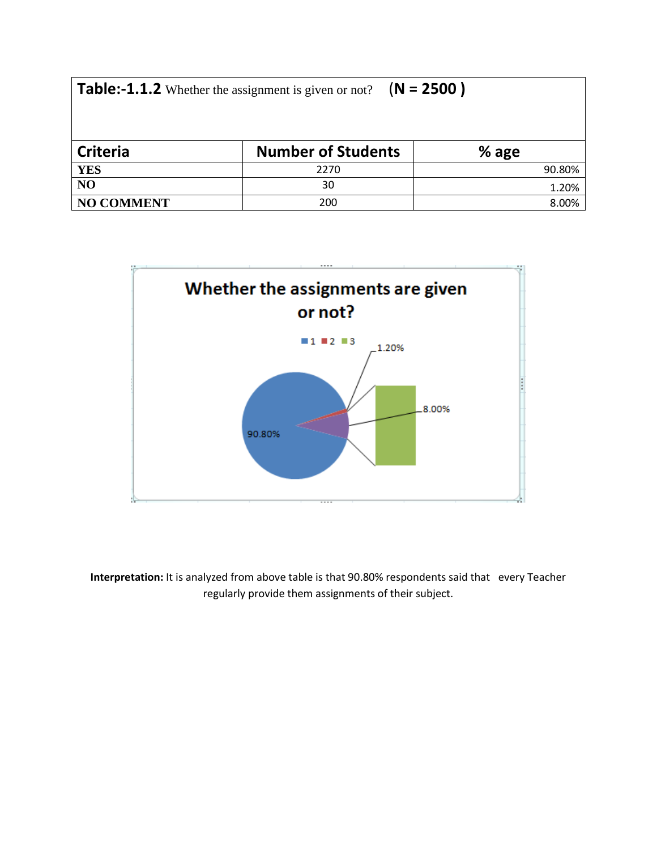| $(N = 2500)$<br><b>Table:-1.1.2</b> Whether the assignment is given or not? |                           |         |  |  |
|-----------------------------------------------------------------------------|---------------------------|---------|--|--|
| <b>Criteria</b>                                                             | <b>Number of Students</b> | $%$ age |  |  |
| <b>YES</b>                                                                  | 2270                      | 90.80%  |  |  |
| NO                                                                          | 30                        | 1.20%   |  |  |
| <b>NO COMMENT</b>                                                           | 200                       | 8.00%   |  |  |



**Interpretation:** It is analyzed from above table is that 90.80% respondents said that every Teacher regularly provide them assignments of their subject.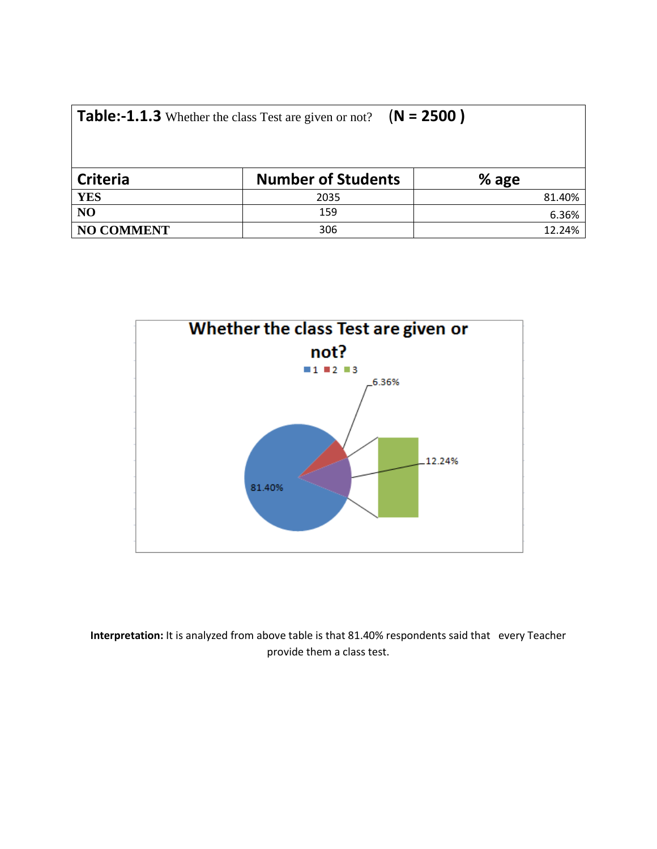| <b>Table:-1.1.3</b> Whether the class Test are given or not? $(N = 2500)$ |                           |        |  |  |
|---------------------------------------------------------------------------|---------------------------|--------|--|--|
| <b>Criteria</b>                                                           | <b>Number of Students</b> | % age  |  |  |
| <b>YES</b>                                                                | 2035                      | 81.40% |  |  |
| NO                                                                        | 159                       | 6.36%  |  |  |
| <b>NO COMMENT</b>                                                         | 306                       | 12.24% |  |  |



**Interpretation:** It is analyzed from above table is that 81.40% respondents said that every Teacher provide them a class test.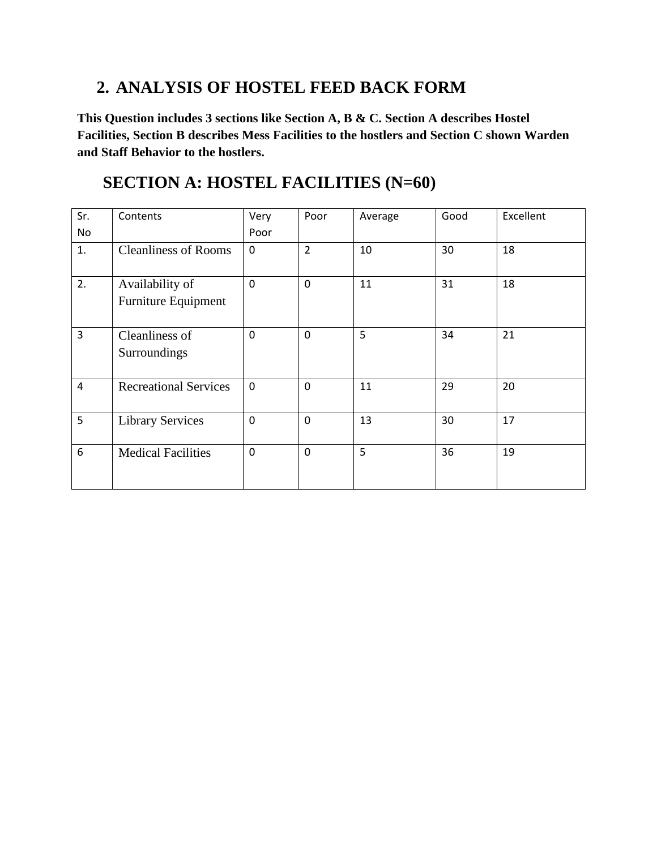#### **2. ANALYSIS OF HOSTEL FEED BACK FORM**

**This Question includes 3 sections like Section A, B & C. Section A describes Hostel Facilities, Section B describes Mess Facilities to the hostlers and Section C shown Warden and Staff Behavior to the hostlers.**

#### **SECTION A: HOSTEL FACILITIES (N=60)**

| Sr.<br>No      | Contents                     | Very<br>Poor | Poor           | Average | Good | Excellent |
|----------------|------------------------------|--------------|----------------|---------|------|-----------|
|                |                              |              |                |         |      |           |
| 1.             | <b>Cleanliness of Rooms</b>  | 0            | $\overline{2}$ | 10      | 30   | 18        |
| 2.             | Availability of              | $\mathbf 0$  | $\overline{0}$ | 11      | 31   | 18        |
|                | <b>Furniture Equipment</b>   |              |                |         |      |           |
| 3              | Cleanliness of               | 0            | $\mathbf 0$    | 5       | 34   | 21        |
|                | Surroundings                 |              |                |         |      |           |
| $\overline{4}$ | <b>Recreational Services</b> | $\mathbf 0$  | $\mathbf 0$    | 11      | 29   | 20        |
| 5              | <b>Library Services</b>      | $\mathbf 0$  | $\overline{0}$ | 13      | 30   | 17        |
| 6              | <b>Medical Facilities</b>    | $\mathbf 0$  | $\overline{0}$ | 5       | 36   | 19        |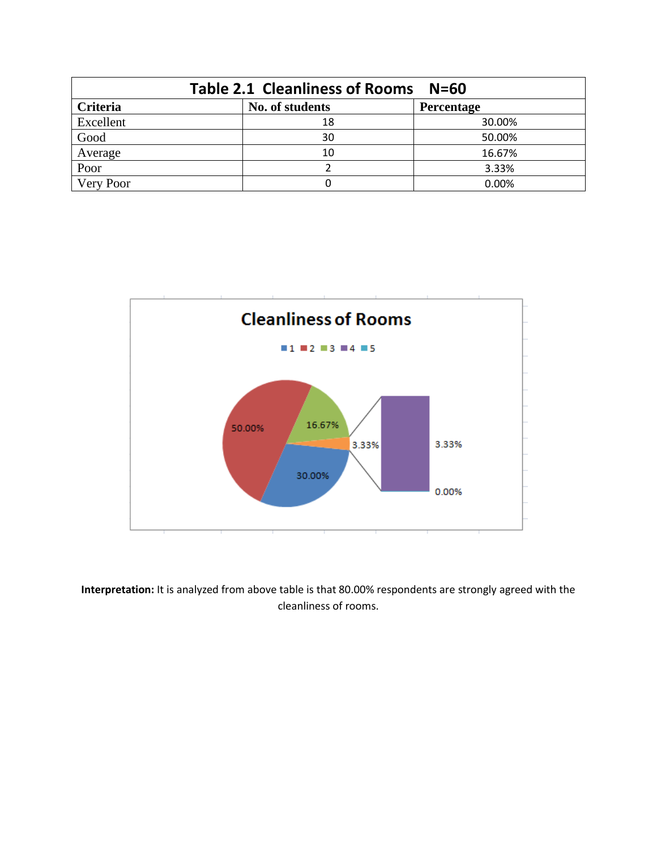| <b>Table 2.1 Cleanliness of Rooms</b><br>$N = 60$       |    |        |  |  |
|---------------------------------------------------------|----|--------|--|--|
| <b>Criteria</b><br>No. of students<br><b>Percentage</b> |    |        |  |  |
| Excellent                                               | 18 | 30.00% |  |  |
| Good                                                    | 30 | 50.00% |  |  |
| Average                                                 | 10 | 16.67% |  |  |
| Poor                                                    |    | 3.33%  |  |  |
| Very Poor                                               |    | 0.00%  |  |  |



**Interpretation:** It is analyzed from above table is that 80.00% respondents are strongly agreed with the cleanliness of rooms.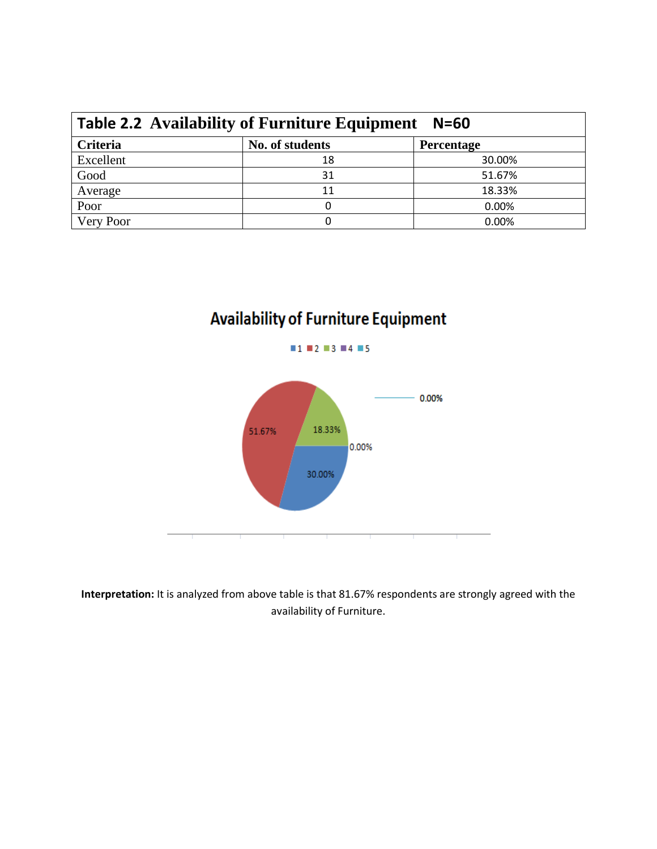| <b>Table 2.2 Availability of Furniture Equipment</b><br>$N = 60$ |                 |                   |  |
|------------------------------------------------------------------|-----------------|-------------------|--|
| Criteria                                                         | No. of students | <b>Percentage</b> |  |
| Excellent                                                        | 18              | 30.00%            |  |
| Good                                                             | 31              | 51.67%            |  |
| Average                                                          | 11              | 18.33%            |  |
| Poor                                                             |                 | 0.00%             |  |
| Very Poor                                                        |                 | 0.00%             |  |

# **Availability of Furniture Equipment**



**Interpretation:** It is analyzed from above table is that 81.67% respondents are strongly agreed with the availability of Furniture.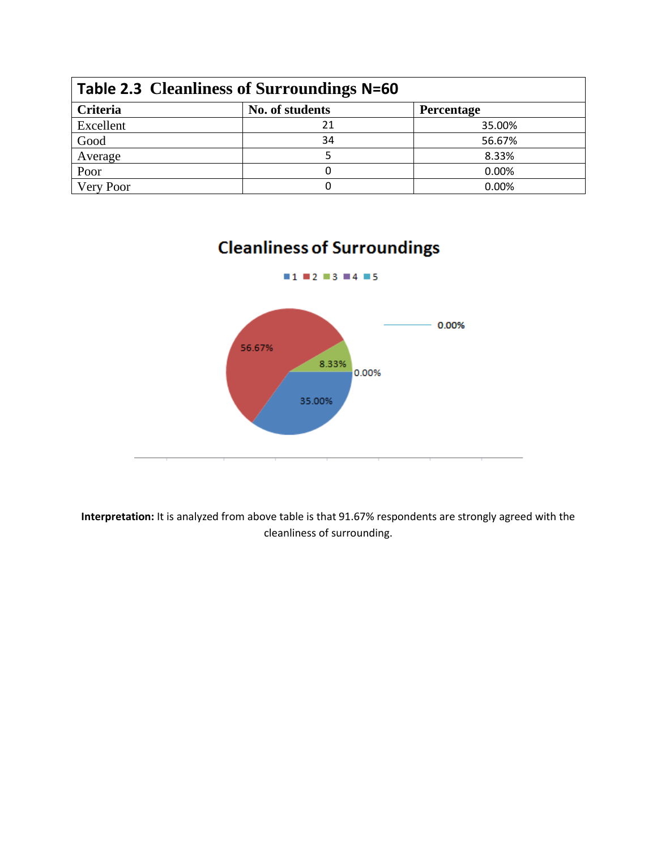| <b>Table 2.3 Cleanliness of Surroundings N=60</b> |                 |            |  |
|---------------------------------------------------|-----------------|------------|--|
| Criteria                                          | No. of students | Percentage |  |
| Excellent                                         | 21              | 35.00%     |  |
| Good                                              | 34              | 56.67%     |  |
| Average                                           |                 | 8.33%      |  |
| Poor                                              |                 | 0.00%      |  |
| Very Poor                                         |                 | 0.00%      |  |

## **Cleanliness of Surroundings**



**Interpretation:** It is analyzed from above table is that 91.67% respondents are strongly agreed with the cleanliness of surrounding.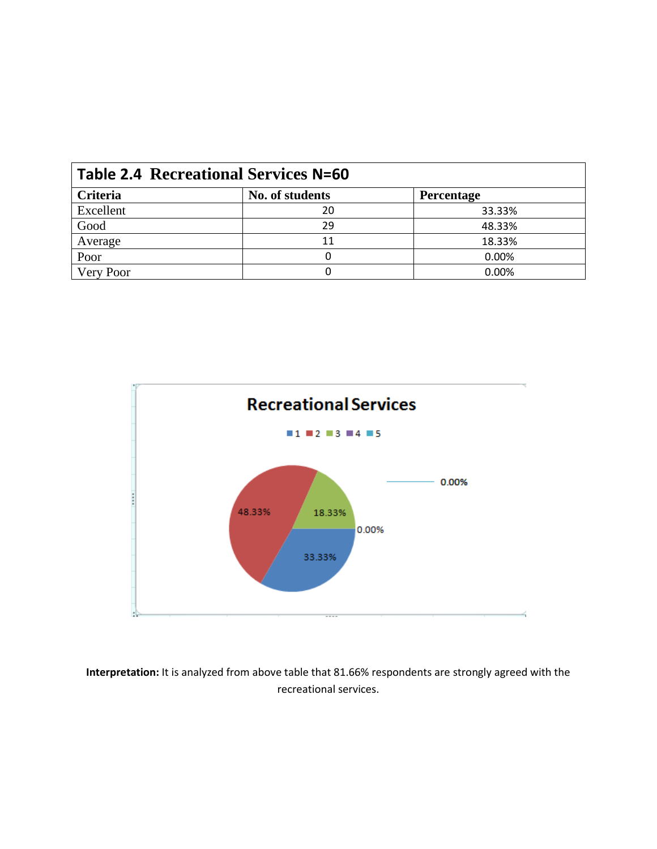| <b>Table 2.4 Recreational Services N=60</b> |                 |                   |  |
|---------------------------------------------|-----------------|-------------------|--|
| Criteria                                    | No. of students | <b>Percentage</b> |  |
| Excellent                                   | 20              | 33.33%            |  |
| Good                                        | 29              | 48.33%            |  |
| Average                                     | 11              | 18.33%            |  |
| Poor                                        |                 | 0.00%             |  |
| Very Poor                                   |                 | 0.00%             |  |



**Interpretation:** It is analyzed from above table that 81.66% respondents are strongly agreed with the recreational services.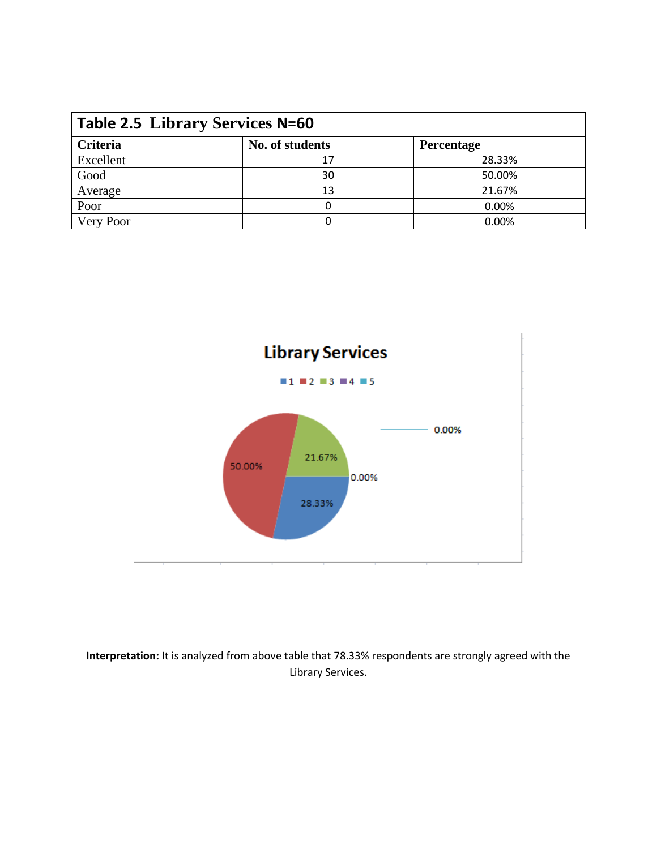| <b>Table 2.5 Library Services N=60</b> |                 |                   |  |
|----------------------------------------|-----------------|-------------------|--|
| Criteria                               | No. of students | <b>Percentage</b> |  |
| Excellent                              | 17              | 28.33%            |  |
| Good                                   | 30              | 50.00%            |  |
| Average                                | 13              | 21.67%            |  |
| Poor                                   |                 | 0.00%             |  |
| Very Poor                              |                 | 0.00%             |  |



**Interpretation:** It is analyzed from above table that 78.33% respondents are strongly agreed with the Library Services.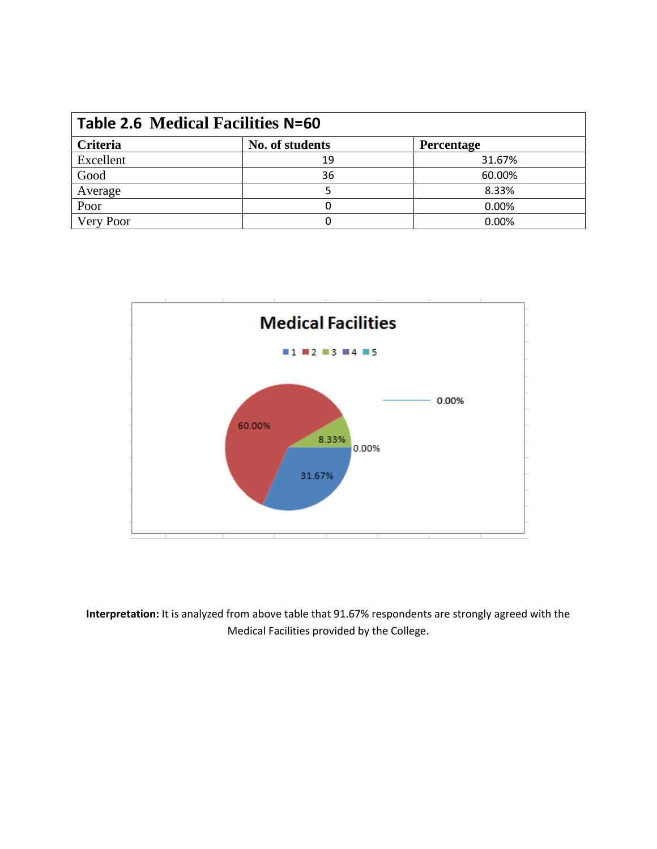| <b>Table 2.6 Medical Facilities N=60</b> |                 |            |  |
|------------------------------------------|-----------------|------------|--|
| <b>Criteria</b>                          | No. of students | Percentage |  |
| Excellent                                | 19              | 31.67%     |  |
| Good                                     | 36              | 60.00%     |  |
| Average                                  |                 | 8.33%      |  |
| Poor                                     |                 | 0.00%      |  |
| Very Poor                                |                 | 0.00%      |  |



**Interpretation:** It is analyzed from above table that 91.67% respondents are strongly agreed with the Medical Facilities provided by the College.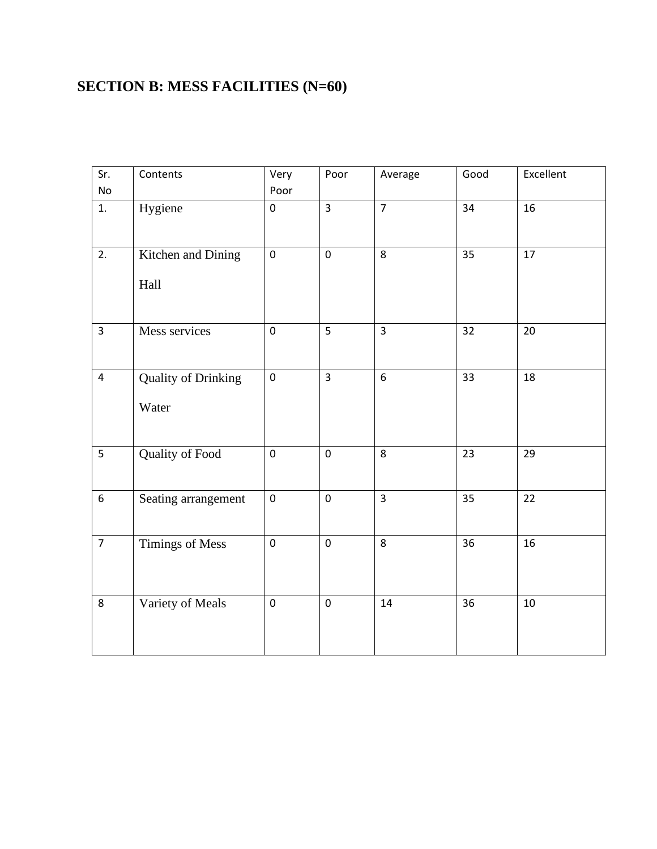#### **SECTION B: MESS FACILITIES (N=60)**

| Sr.            | Contents                            | Very      | Poor           | Average          | Good | Excellent       |
|----------------|-------------------------------------|-----------|----------------|------------------|------|-----------------|
| No             |                                     | Poor      |                |                  |      |                 |
| 1.             | Hygiene                             | $\pmb{0}$ | $\overline{3}$ | $\overline{7}$   | 34   | 16              |
| 2.             | Kitchen and Dining<br>Hall          | $\pmb{0}$ | $\pmb{0}$      | 8                | 35   | 17              |
| $\overline{3}$ | Mess services                       | $\pmb{0}$ | 5              | $\overline{3}$   | 32   | 20              |
| $\overline{4}$ | <b>Quality of Drinking</b><br>Water | $\pmb{0}$ | $\overline{3}$ | $\boldsymbol{6}$ | 33   | 18              |
| 5              | Quality of Food                     | $\pmb{0}$ | $\pmb{0}$      | 8                | 23   | 29              |
| $\overline{6}$ | Seating arrangement                 | $\pmb{0}$ | $\overline{0}$ | $\overline{3}$   | 35   | $\overline{22}$ |
| $\overline{7}$ | Timings of Mess                     | $\pmb{0}$ | $\pmb{0}$      | 8                | 36   | 16              |
| 8              | Variety of Meals                    | $\pmb{0}$ | $\pmb{0}$      | 14               | 36   | $10\,$          |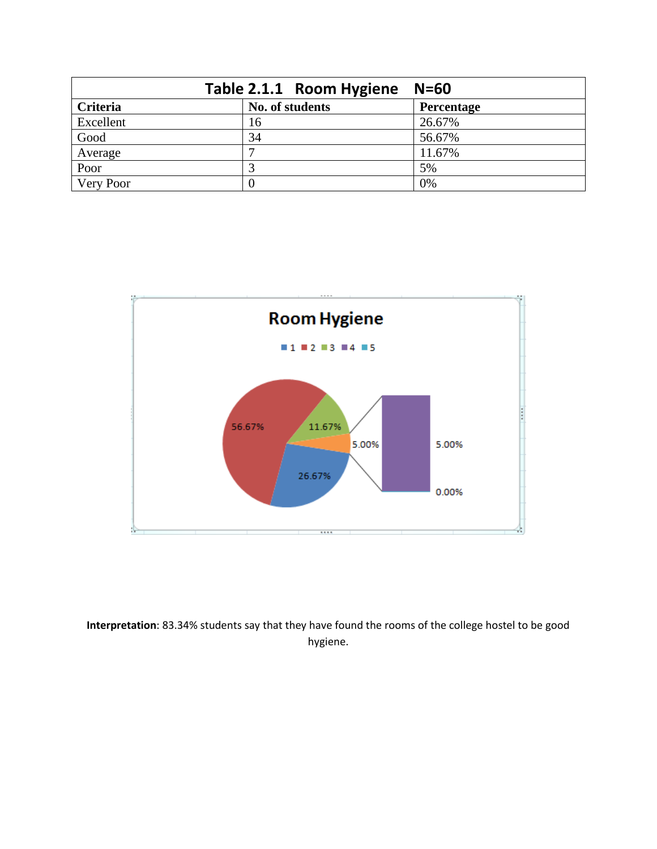|           | Table 2.1.1 Room Hygiene N=60 |            |
|-----------|-------------------------------|------------|
| Criteria  | No. of students               | Percentage |
| Excellent | 16                            | 26.67%     |
| Good      | 34                            | 56.67%     |
| Average   |                               | 11.67%     |
| Poor      |                               | 5%         |
| Very Poor |                               | 0%         |



**Interpretation**: 83.34% students say that they have found the rooms of the college hostel to be good hygiene.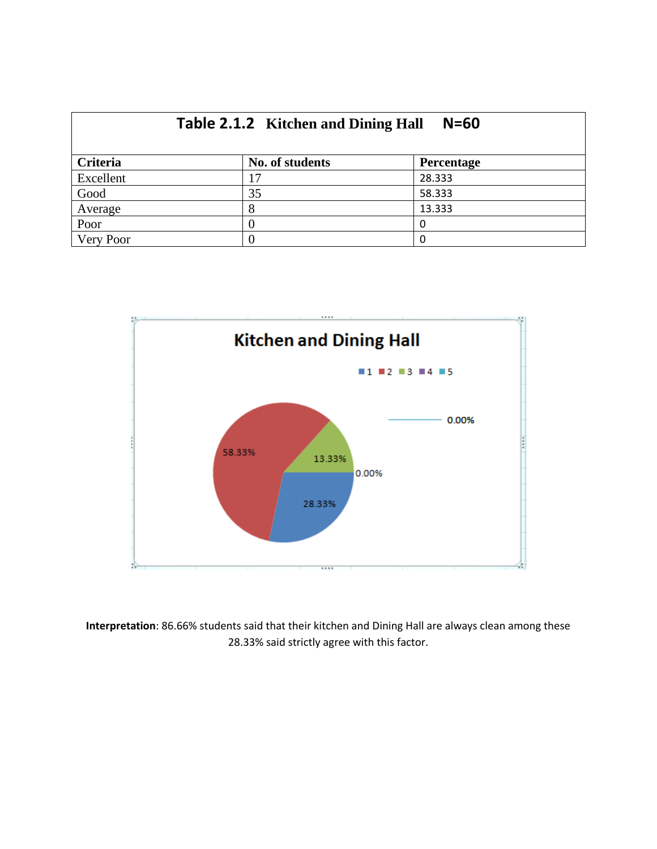| <b>Table 2.1.2</b> Kitchen and Dining Hall<br>$N=60$ |                 |                   |  |  |
|------------------------------------------------------|-----------------|-------------------|--|--|
| Criteria                                             | No. of students | <b>Percentage</b> |  |  |
| Excellent                                            | 17              | 28.333            |  |  |
| Good                                                 | 35              | 58.333            |  |  |
| Average                                              | 8               | 13.333            |  |  |
| Poor                                                 |                 | 0                 |  |  |
| Very Poor                                            |                 | 0                 |  |  |



**Interpretation**: 86.66% students said that their kitchen and Dining Hall are always clean among these 28.33% said strictly agree with this factor.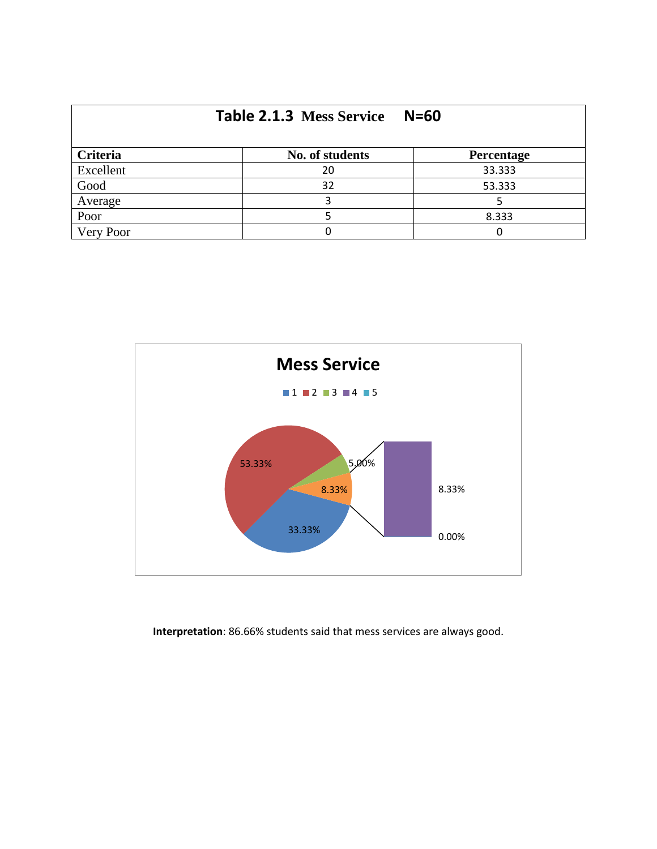| Table 2.1.3 Mess Service<br>$N=60$ |                 |            |  |  |  |
|------------------------------------|-----------------|------------|--|--|--|
| Criteria                           | No. of students | Percentage |  |  |  |
| Excellent                          | 20              | 33.333     |  |  |  |
| Good                               | 32              | 53.333     |  |  |  |
| Average                            |                 |            |  |  |  |
| Poor                               |                 | 8.333      |  |  |  |
| Very Poor                          |                 | Ω          |  |  |  |



**Interpretation**: 86.66% students said that mess services are always good.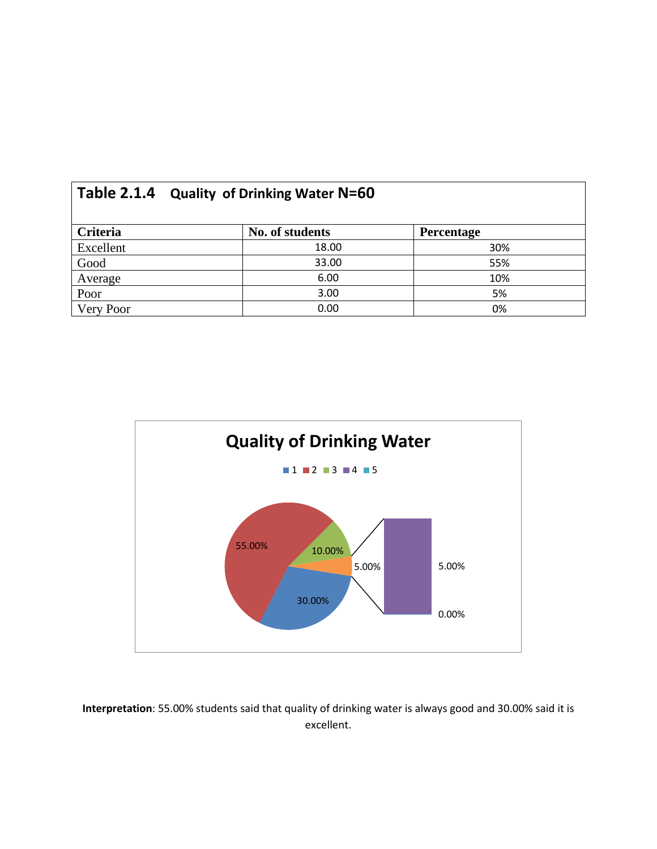|           | Table 2.1.4 Quality of Drinking Water N=60 |                 |            |  |  |
|-----------|--------------------------------------------|-----------------|------------|--|--|
| Criteria  |                                            | No. of students | Percentage |  |  |
| Excellent |                                            | 18.00           | 30%        |  |  |
| Good      |                                            | 33.00           | 55%        |  |  |
| Average   |                                            | 6.00            | 10%        |  |  |
| Poor      |                                            | 3.00            | 5%         |  |  |
| Very Poor |                                            | 0.00            | 0%         |  |  |



**Interpretation**: 55.00% students said that quality of drinking water is always good and 30.00% said it is excellent.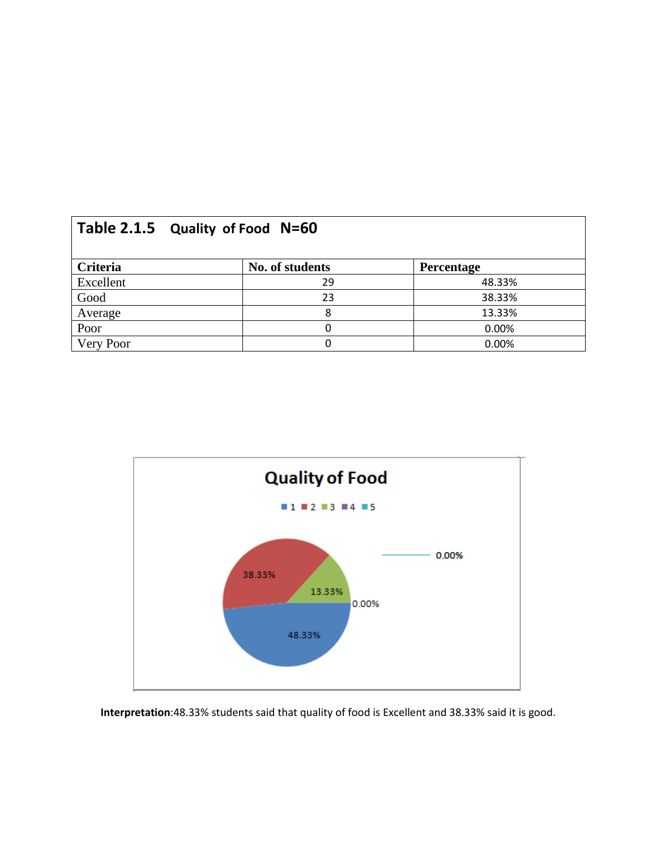| Table 2.1.5 Quality of Food N=60 |                 |            |  |  |  |
|----------------------------------|-----------------|------------|--|--|--|
| Criteria                         | No. of students | Percentage |  |  |  |
| Excellent                        | 29              | 48.33%     |  |  |  |
| Good                             | 23              | 38.33%     |  |  |  |
| Average                          |                 | 13.33%     |  |  |  |
| Poor                             |                 | 0.00%      |  |  |  |
| Very Poor                        |                 | 0.00%      |  |  |  |



**Interpretation**:48.33% students said that quality of food is Excellent and 38.33% said it is good.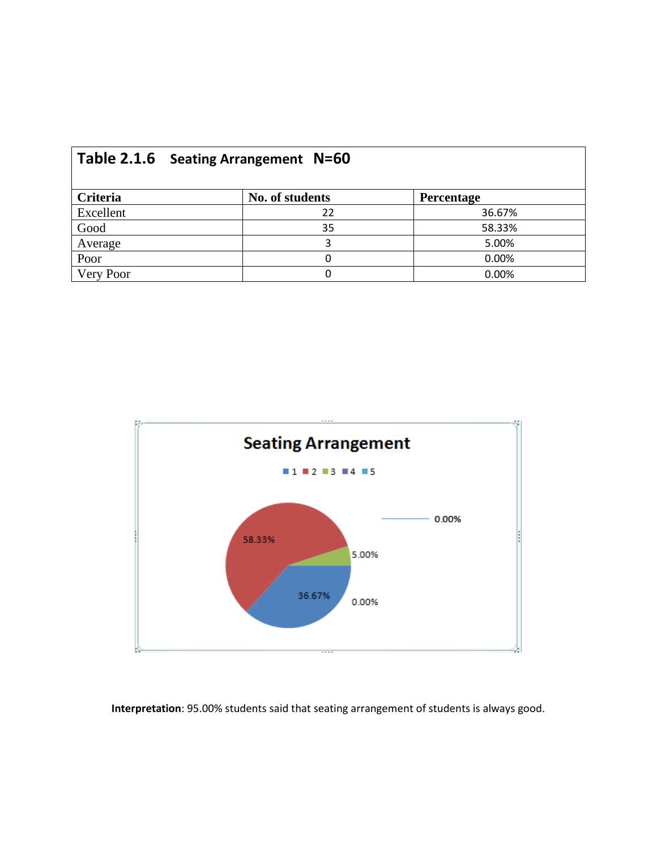|           | Table 2.1.6 Seating Arrangement N=60 |                 |            |  |  |
|-----------|--------------------------------------|-----------------|------------|--|--|
| Criteria  |                                      | No. of students | Percentage |  |  |
| Excellent |                                      | 22              | 36.67%     |  |  |
| Good      |                                      | 35              | 58.33%     |  |  |
| Average   |                                      | 3               | 5.00%      |  |  |
| Poor      |                                      | O               | 0.00%      |  |  |
| Very Poor |                                      |                 | 0.00%      |  |  |



**Interpretation**: 95.00% students said that seating arrangement of students is always good.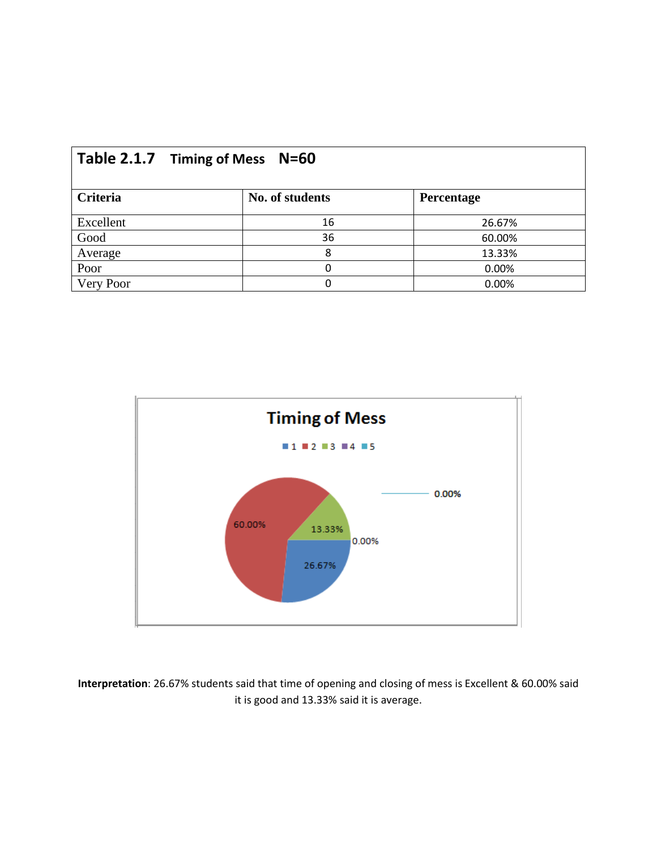| Table 2.1.7 Timing of Mess<br><b>N=60</b> |                 |            |  |  |  |
|-------------------------------------------|-----------------|------------|--|--|--|
| Criteria                                  | No. of students | Percentage |  |  |  |
| Excellent                                 | 16              | 26.67%     |  |  |  |
| Good                                      | 36              | 60.00%     |  |  |  |
| Average                                   | 8               | 13.33%     |  |  |  |
| Poor                                      | 0               | 0.00%      |  |  |  |
| Very Poor                                 | 0               | 0.00%      |  |  |  |



**Interpretation**: 26.67% students said that time of opening and closing of mess is Excellent & 60.00% said it is good and 13.33% said it is average.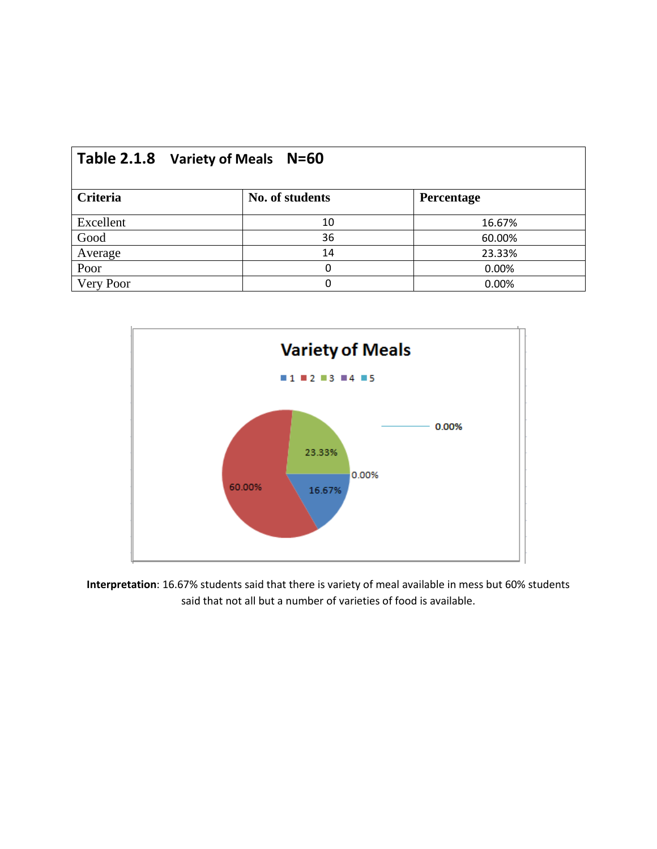| Table 2.1.8 Variety of Meals N=60 |                 |            |  |  |
|-----------------------------------|-----------------|------------|--|--|
| Criteria                          | No. of students | Percentage |  |  |
| Excellent                         | 10              | 16.67%     |  |  |
| Good                              | 36              | 60.00%     |  |  |
| Average                           | 14              | 23.33%     |  |  |
| Poor                              | 0               | 0.00%      |  |  |
| Very Poor                         | 0               | 0.00%      |  |  |



**Interpretation**: 16.67% students said that there is variety of meal available in mess but 60% students said that not all but a number of varieties of food is available.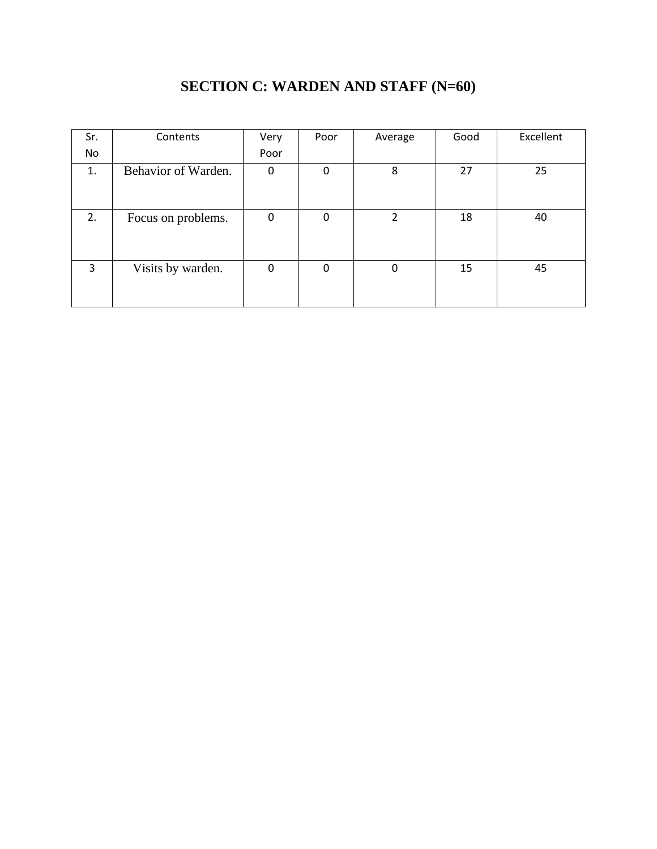| Sr. | Contents            | Very | Poor | Average        | Good | Excellent |
|-----|---------------------|------|------|----------------|------|-----------|
| No  |                     | Poor |      |                |      |           |
| 1.  | Behavior of Warden. | 0    | 0    | 8              | 27   | 25        |
|     |                     |      |      |                |      |           |
| 2.  | Focus on problems.  | 0    | 0    | $\overline{2}$ | 18   | 40        |
| 3   | Visits by warden.   | 0    | 0    | 0              | 15   | 45        |

#### **SECTION C: WARDEN AND STAFF (N=60)**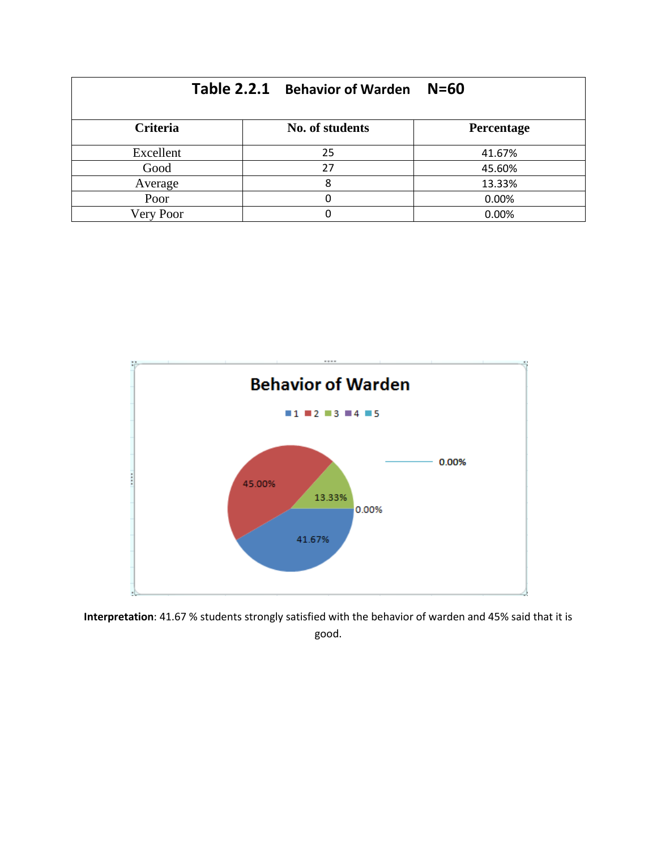|           | Table 2.2.1 Behavior of Warden | $N=60$     |
|-----------|--------------------------------|------------|
| Criteria  | No. of students                | Percentage |
| Excellent | 25                             | 41.67%     |
| Good      | 27                             | 45.60%     |
| Average   | 8                              | 13.33%     |
| Poor      |                                | 0.00%      |
| Very Poor |                                | 0.00%      |



**Interpretation**: 41.67 % students strongly satisfied with the behavior of warden and 45% said that it is good.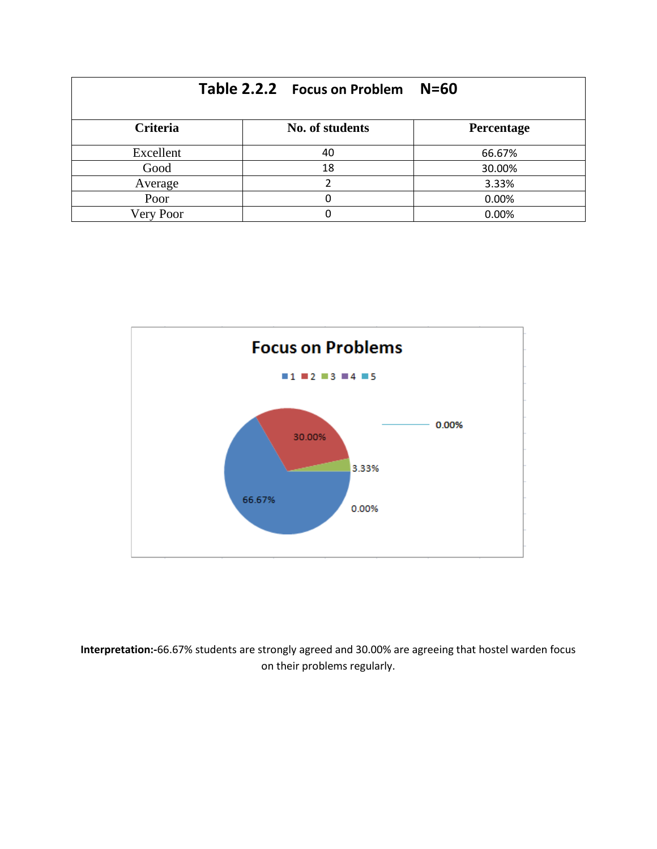|                 | Table 2.2.2 Focus on Problem | $N=60$     |
|-----------------|------------------------------|------------|
| <b>Criteria</b> | No. of students              | Percentage |
| Excellent       | 40                           | 66.67%     |
| Good            | 18                           | 30.00%     |
| Average         |                              | 3.33%      |
| Poor            |                              | 0.00%      |
| Very Poor       |                              | 0.00%      |



**Interpretation:-**66.67% students are strongly agreed and 30.00% are agreeing that hostel warden focus on their problems regularly.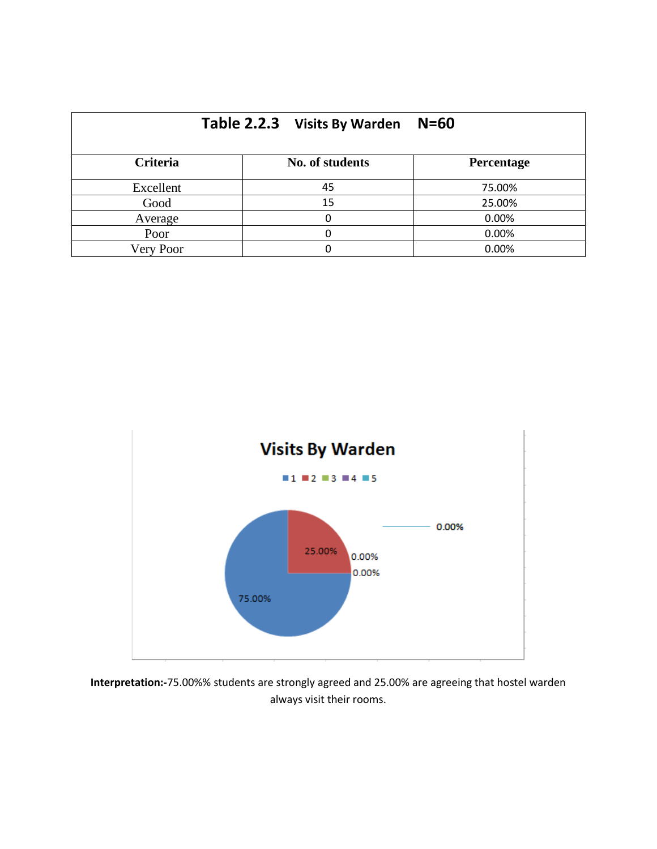|                 | Table 2.2.3 Visits By Warden | $N=60$     |
|-----------------|------------------------------|------------|
| <b>Criteria</b> | No. of students              | Percentage |
| Excellent       | 45                           | 75.00%     |
| Good            | 15                           | 25.00%     |
| Average         | 0                            | 0.00%      |
| Poor            |                              | 0.00%      |
| Very Poor       | ი                            | 0.00%      |



**Interpretation:-**75.00%% students are strongly agreed and 25.00% are agreeing that hostel warden always visit their rooms.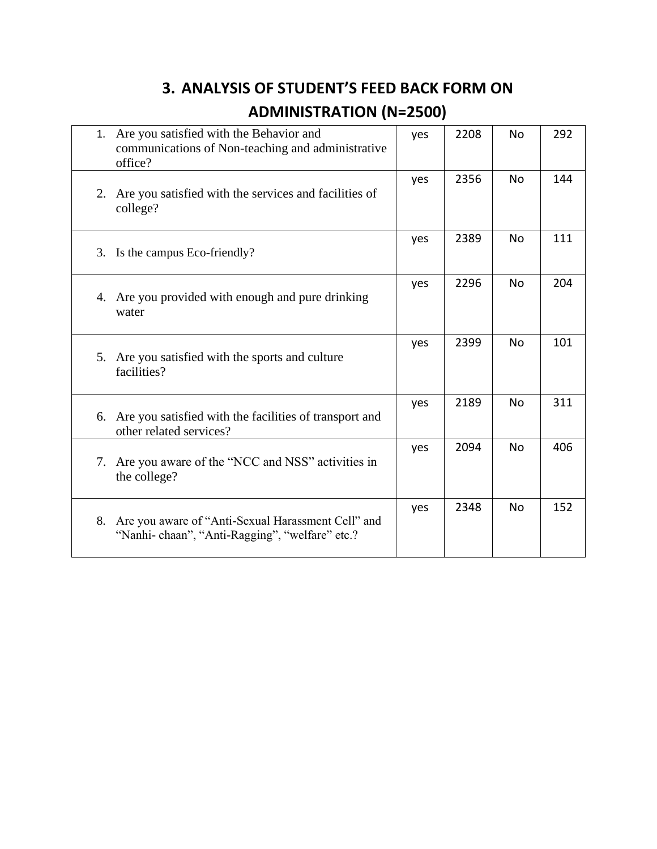## **3. ANALYSIS OF STUDENT'S FEED BACK FORM ON ADMINISTRATION (N=2500)**

| 1. | Are you satisfied with the Behavior and<br>communications of Non-teaching and administrative<br>office? | yes | 2208 | No        | 292 |
|----|---------------------------------------------------------------------------------------------------------|-----|------|-----------|-----|
| 2. | Are you satisfied with the services and facilities of<br>college?                                       | yes | 2356 | <b>No</b> | 144 |
| 3. | Is the campus Eco-friendly?                                                                             | yes | 2389 | No        | 111 |
| 4. | Are you provided with enough and pure drinking<br>water                                                 | yes | 2296 | No        | 204 |
|    | 5. Are you satisfied with the sports and culture<br>facilities?                                         | yes | 2399 | No        | 101 |
| 6. | Are you satisfied with the facilities of transport and<br>other related services?                       | yes | 2189 | No        | 311 |
| 7. | Are you aware of the "NCC and NSS" activities in<br>the college?                                        | yes | 2094 | <b>No</b> | 406 |
| 8. | Are you aware of "Anti-Sexual Harassment Cell" and<br>"Nanhi-chaan", "Anti-Ragging", "welfare" etc.?    | yes | 2348 | No        | 152 |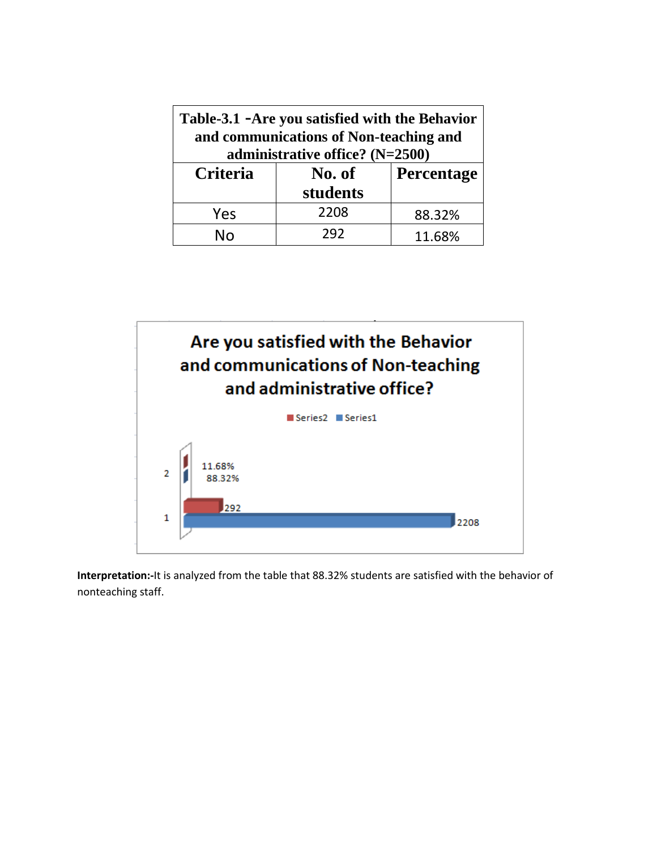| Table-3.1 - Are you satisfied with the Behavior<br>and communications of Non-teaching and<br>administrative office? (N=2500) |          |        |  |
|------------------------------------------------------------------------------------------------------------------------------|----------|--------|--|
| <b>Criteria</b><br>Percentage<br>No. of                                                                                      |          |        |  |
|                                                                                                                              | students |        |  |
| Yes                                                                                                                          | 2208     | 88.32% |  |
| Nn                                                                                                                           | 292      | 11.68% |  |



**Interpretation:-**It is analyzed from the table that 88.32% students are satisfied with the behavior of nonteaching staff.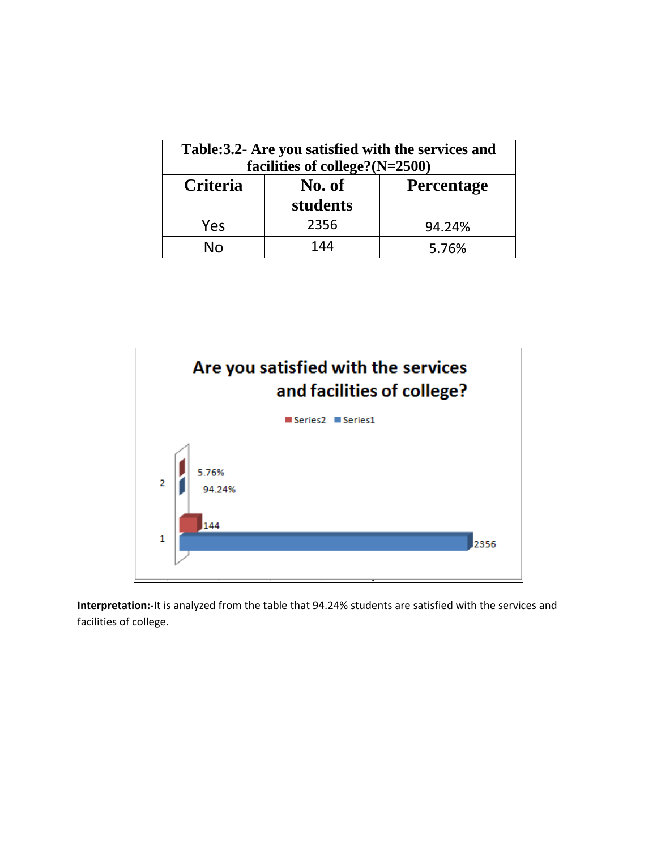| Table: 3.2- Are you satisfied with the services and<br>facilities of college?(N=2500) |                    |                   |  |
|---------------------------------------------------------------------------------------|--------------------|-------------------|--|
| Criteria                                                                              | No. of<br>students | <b>Percentage</b> |  |
| Yes                                                                                   | 2356               | 94.24%            |  |
| N٥                                                                                    | 144                | 5.76%             |  |



**Interpretation:-**It is analyzed from the table that 94.24% students are satisfied with the services and facilities of college.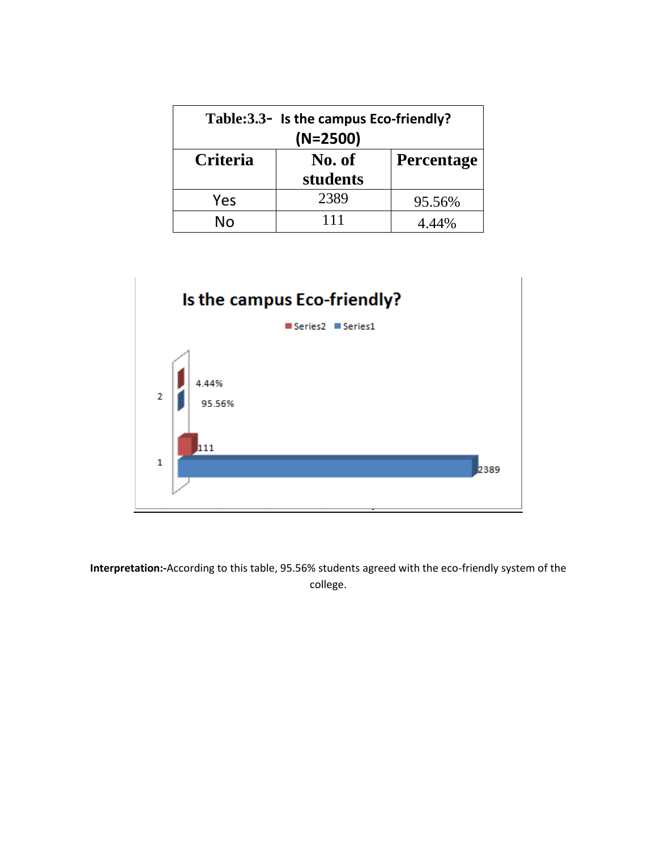| Table: 3.3 - Is the campus Eco-friendly?<br>$(N=2500)$ |                             |        |  |
|--------------------------------------------------------|-----------------------------|--------|--|
| Criteria                                               | No. of<br><b>Percentage</b> |        |  |
|                                                        | students                    |        |  |
| Yes                                                    | 2389                        | 95.56% |  |
| $N_{\Omega}$                                           | 111                         | 4 44%  |  |



**Interpretation:-**According to this table, 95.56% students agreed with the eco-friendly system of the college.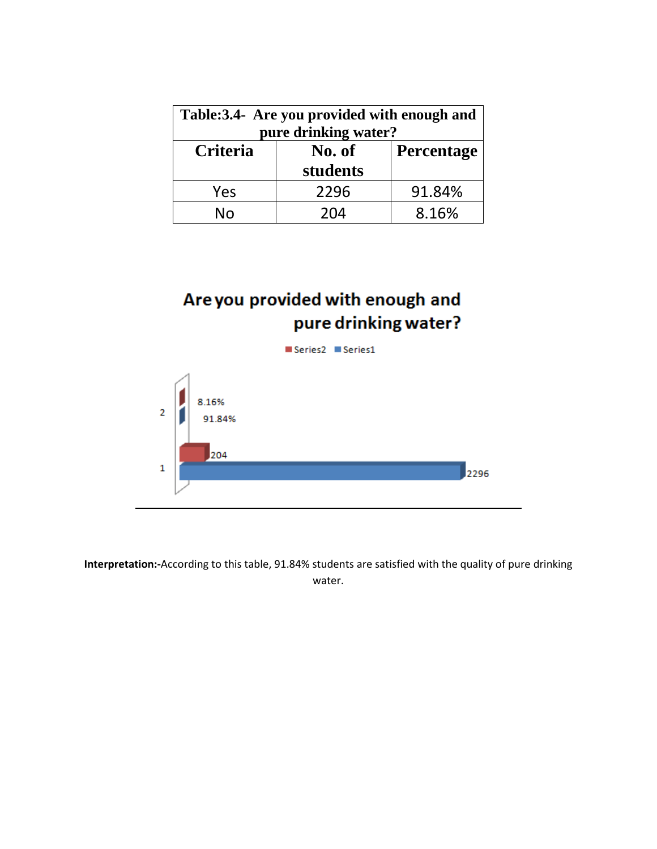| Table: 3.4- Are you provided with enough and<br>pure drinking water? |                    |                   |  |
|----------------------------------------------------------------------|--------------------|-------------------|--|
| Criteria                                                             | No. of<br>students | <b>Percentage</b> |  |
| Yes                                                                  | 2296               | 91.84%            |  |
| N٥                                                                   | 204                | 8.16%             |  |

### Are you provided with enough and pure drinking water?



**Interpretation:-**According to this table, 91.84% students are satisfied with the quality of pure drinking water.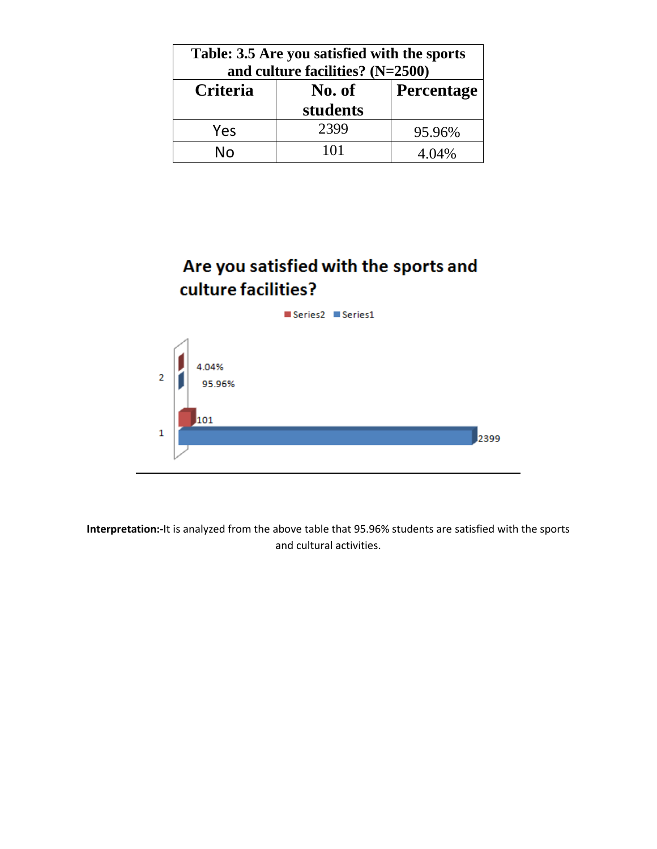| Table: 3.5 Are you satisfied with the sports<br>and culture facilities? $(N=2500)$ |          |        |  |
|------------------------------------------------------------------------------------|----------|--------|--|
| Criteria<br>Percentage<br>No. of                                                   |          |        |  |
|                                                                                    | students |        |  |
| Yes                                                                                | 2399     | 95.96% |  |
| N٥                                                                                 | 101      | 4.04%  |  |

### Are you satisfied with the sports and culture facilities?

Series2 Series1 4.04%  $\overline{2}$ 95.96% 101  $\mathbf 1$ 2399

**Interpretation:-**It is analyzed from the above table that 95.96% students are satisfied with the sports and cultural activities.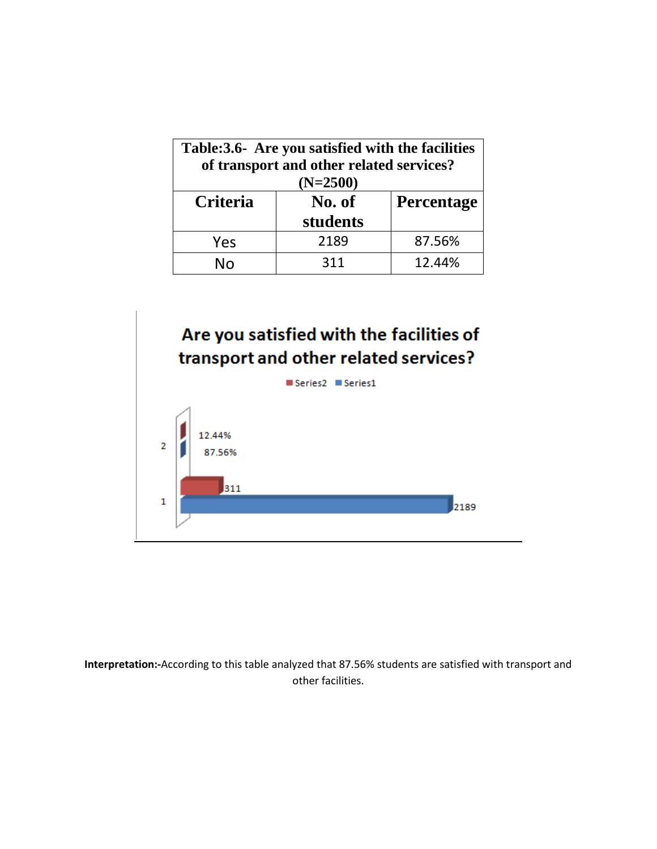| Table: 3.6- Are you satisfied with the facilities<br>of transport and other related services?<br>$(N=2500)$ |          |        |  |
|-------------------------------------------------------------------------------------------------------------|----------|--------|--|
| <b>Criteria</b><br>No. of<br><b>Percentage</b>                                                              |          |        |  |
|                                                                                                             | students |        |  |
| Yes                                                                                                         | 2189     | 87.56% |  |
| N٥                                                                                                          | 311      | 12.44% |  |





**Interpretation:-**According to this table analyzed that 87.56% students are satisfied with transport and other facilities.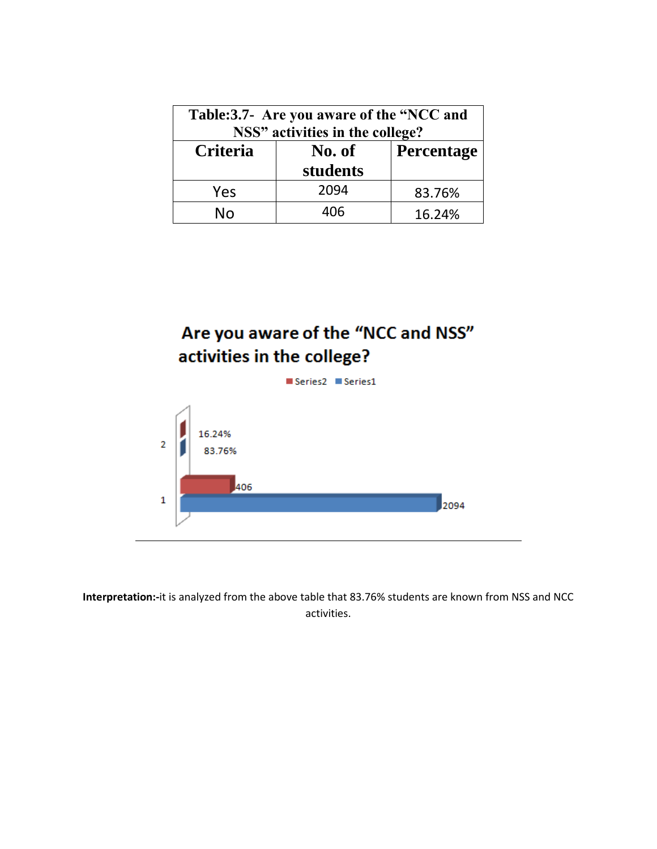| Table:3.7- Are you aware of the "NCC and<br>NSS" activities in the college? |                             |        |  |
|-----------------------------------------------------------------------------|-----------------------------|--------|--|
| Criteria                                                                    | No. of<br><b>Percentage</b> |        |  |
|                                                                             | students                    |        |  |
| Yes                                                                         | 2094                        | 83.76% |  |
| Nο                                                                          | 406                         | 16.24% |  |

### Are you aware of the "NCC and NSS" activities in the college?



**Interpretation:-**it is analyzed from the above table that 83.76% students are known from NSS and NCC activities.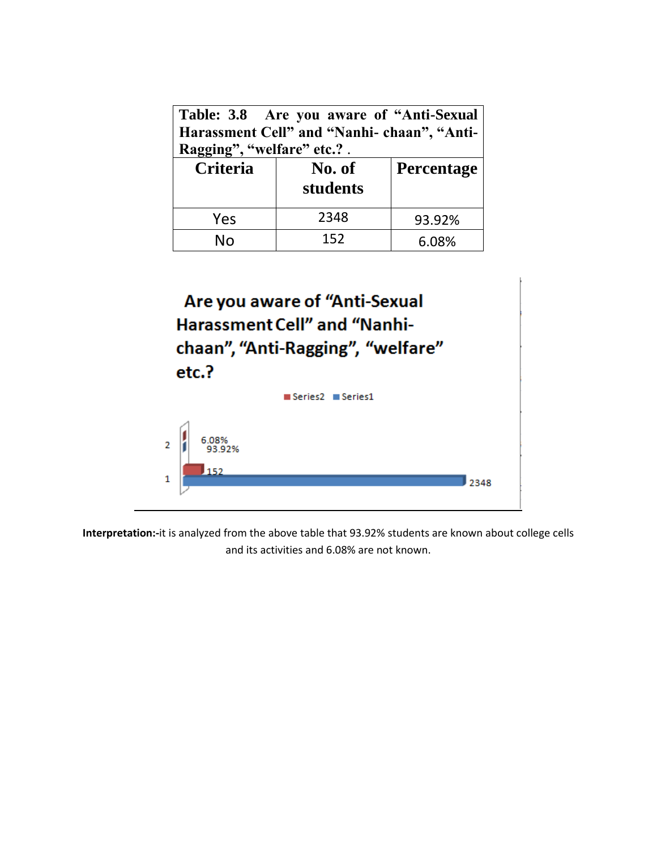| Table: 3.8 Are you aware of "Anti-Sexual"<br>Harassment Cell" and "Nanhi-chaan", "Anti-<br>Ragging", "welfare" etc.?. |                             |        |  |  |
|-----------------------------------------------------------------------------------------------------------------------|-----------------------------|--------|--|--|
| Criteria                                                                                                              | No. of<br><b>Percentage</b> |        |  |  |
|                                                                                                                       | students                    |        |  |  |
| Yes                                                                                                                   | 2348                        | 93.92% |  |  |
| N۱n                                                                                                                   | 152                         | 6.08%  |  |  |

| Are you aware of "Anti-Sexual<br><b>Harassment Cell" and "Nanhi-</b><br>chaan", "Anti-Ragging", "welfare"<br>etc.? |                                                   |      |  |
|--------------------------------------------------------------------------------------------------------------------|---------------------------------------------------|------|--|
|                                                                                                                    | $\blacksquare$ Series $2 \blacksquare$ Series $1$ |      |  |
| $\overline{2}$                                                                                                     | 6.08%<br>93 92%<br>152                            | 2348 |  |

**Interpretation:-**it is analyzed from the above table that 93.92% students are known about college cells and its activities and 6.08% are not known.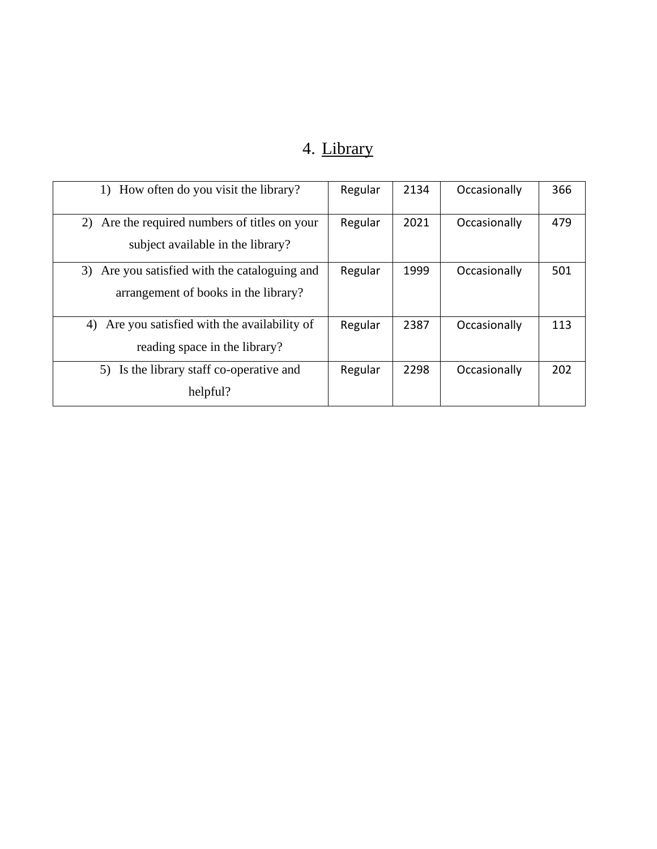## 4. Library

| How often do you visit the library?<br>1)                                                | Regular | 2134 | Occasionally | 366 |
|------------------------------------------------------------------------------------------|---------|------|--------------|-----|
| Are the required numbers of titles on your<br>2)<br>subject available in the library?    | Regular | 2021 | Occasionally | 479 |
| Are you satisfied with the cataloguing and<br>3)<br>arrangement of books in the library? | Regular | 1999 | Occasionally | 501 |
| Are you satisfied with the availability of<br>4)<br>reading space in the library?        | Regular | 2387 | Occasionally | 113 |
| Is the library staff co-operative and<br>5)<br>helpful?                                  | Regular | 2298 | Occasionally | 202 |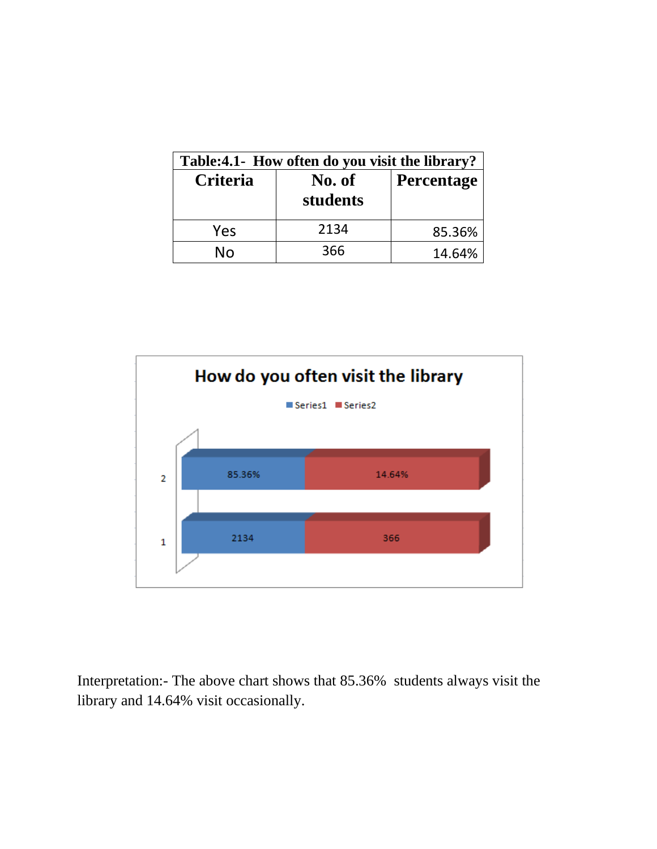| Table:4.1- How often do you visit the library? |                    |            |  |
|------------------------------------------------|--------------------|------------|--|
| Criteria                                       | No. of<br>students | Percentage |  |
| Yes                                            | 2134               | 85.36%     |  |
| No                                             | 366                | 14.64%     |  |



Interpretation:- The above chart shows that 85.36% students always visit the library and 14.64% visit occasionally.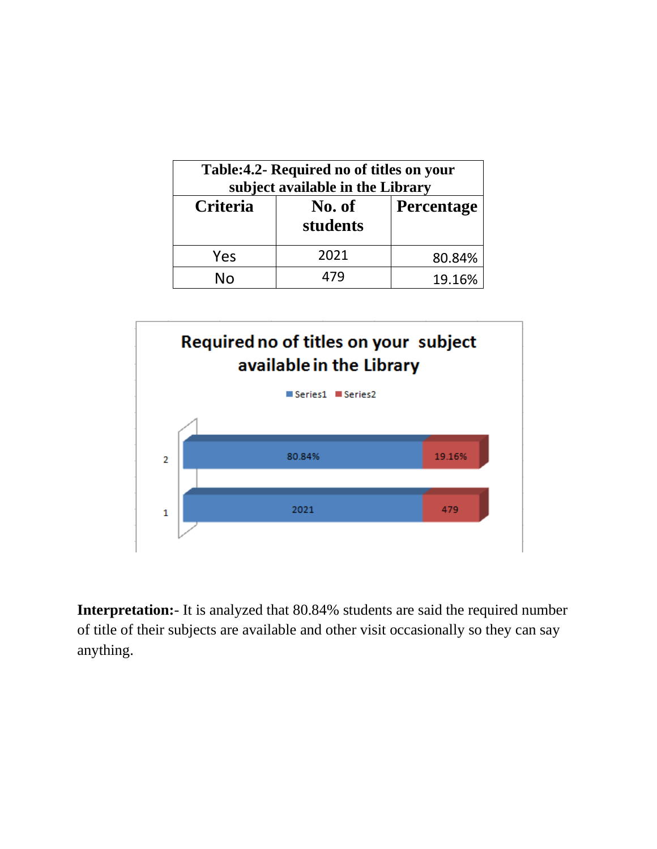| Table: 4.2- Required no of titles on your<br>subject available in the Library |                    |            |  |
|-------------------------------------------------------------------------------|--------------------|------------|--|
| <b>Criteria</b>                                                               | No. of<br>students | Percentage |  |
| Yes                                                                           | 2021               | 80.84%     |  |
| N٥                                                                            | l 74               | 19.16%     |  |



**Interpretation:**- It is analyzed that 80.84% students are said the required number of title of their subjects are available and other visit occasionally so they can say anything.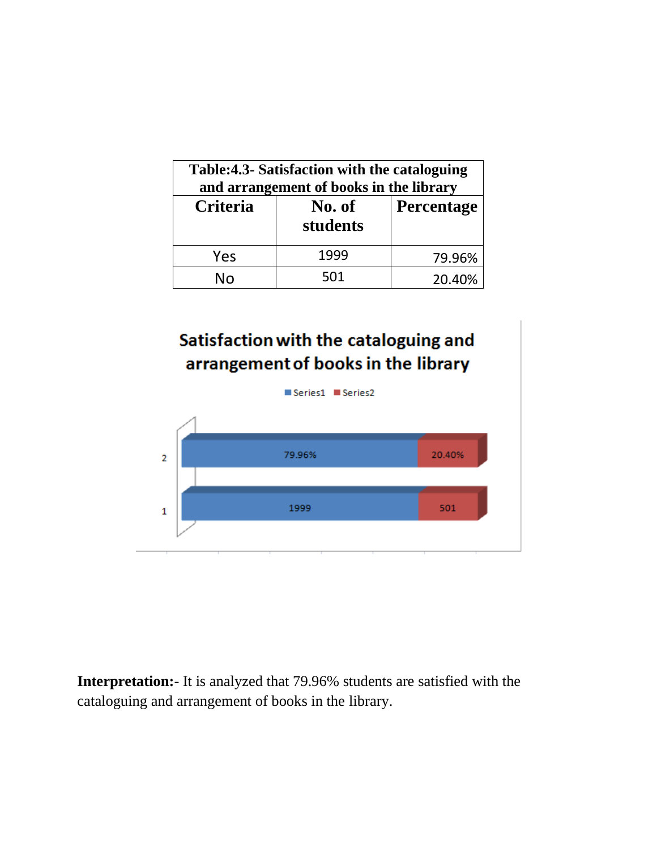| Table:4.3- Satisfaction with the cataloguing<br>and arrangement of books in the library |                    |                   |
|-----------------------------------------------------------------------------------------|--------------------|-------------------|
| <b>Criteria</b>                                                                         | No. of<br>students | <b>Percentage</b> |
| Yes                                                                                     | 1999               | 79.96%            |
| N٥                                                                                      | 501                | 20.40%            |

### Satisfaction with the cataloguing and arrangement of books in the library



**Interpretation:**- It is analyzed that 79.96% students are satisfied with the cataloguing and arrangement of books in the library.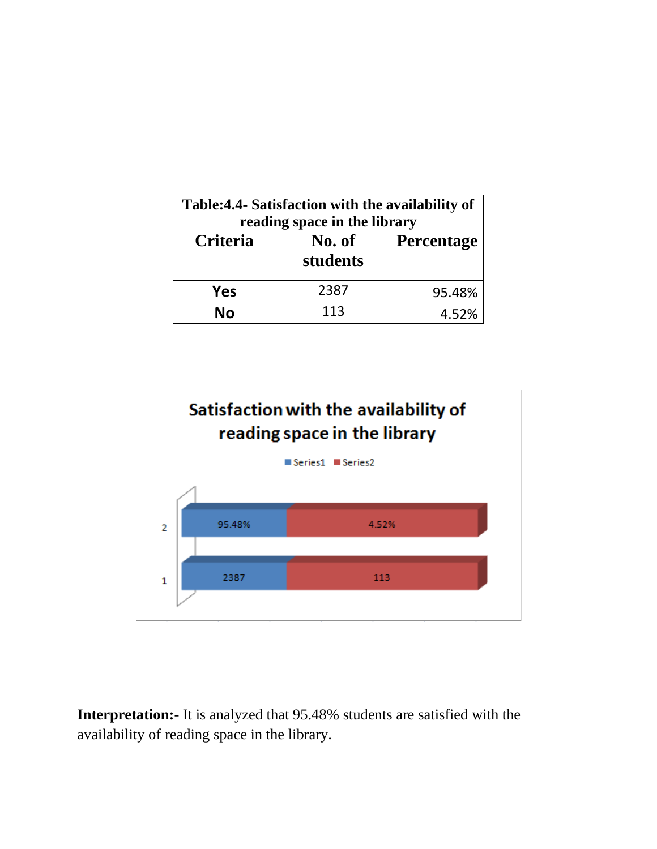| Table: 4.4- Satisfaction with the availability of<br>reading space in the library |                    |                   |  |
|-----------------------------------------------------------------------------------|--------------------|-------------------|--|
| Criteria                                                                          | No. of<br>students | <b>Percentage</b> |  |
| Yes                                                                               | 2387               | 95.48%            |  |
| Nο                                                                                | 113                | 4.52%             |  |

### Satisfaction with the availability of reading space in the library



**Interpretation:**- It is analyzed that 95.48% students are satisfied with the availability of reading space in the library.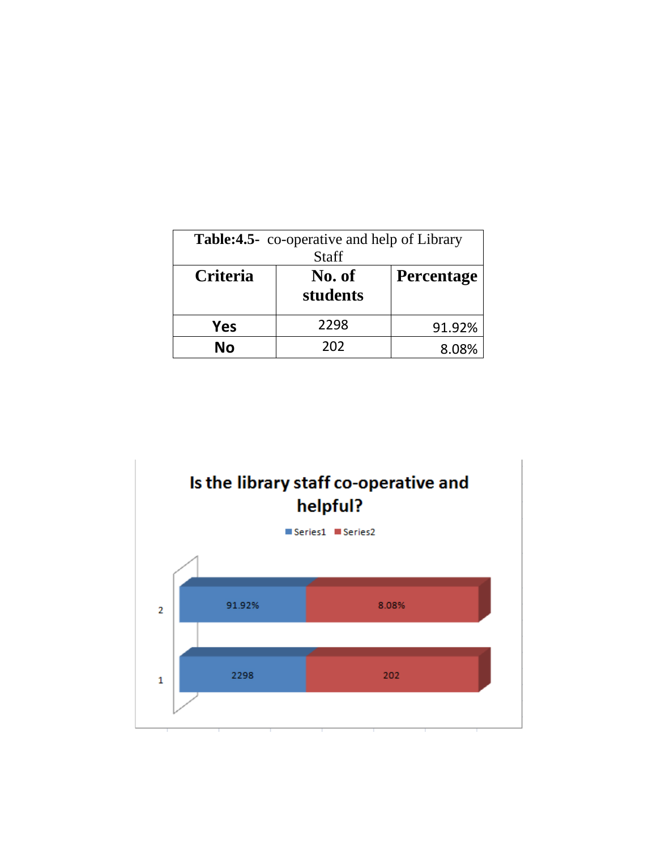| <b>Table:4.5-</b> co-operative and help of Library<br>Staff |                    |                   |  |
|-------------------------------------------------------------|--------------------|-------------------|--|
| Criteria                                                    | No. of<br>students | <b>Percentage</b> |  |
| Yes                                                         | 2298               | 91.92%            |  |
| No                                                          | 202                | $8.08\%$          |  |